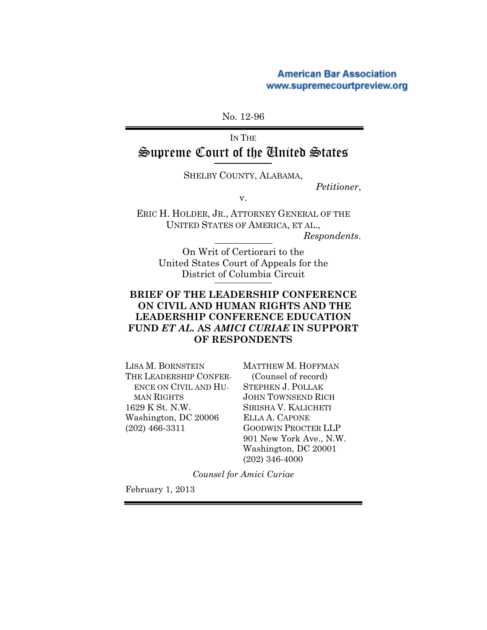# **American Bar Association** www.supremecourtpreview.org

No. 12-96

# IN THE Supreme Court of the United States

SHELBY COUNTY, ALABAMA,

*Petitioner*,

v.

ERIC H. HOLDER, JR., ATTORNEY GENERAL OF THE UNITED STATES OF AMERICA, ET AL.,

*Respondents*.

On Writ of Certiorari to the United States Court of Appeals for the District of Columbia Circuit

# **BRIEF OF THE LEADERSHIP CONFERENCE ON CIVIL AND HUMAN RIGHTS AND THE LEADERSHIP CONFERENCE EDUCATION FUND** *ET AL.* **AS** *AMICI CURIAE* **IN SUPPORT OF RESPONDENTS**

LISA M. BORNSTEIN THE LEADERSHIP CONFER-ENCE ON CIVIL AND HU-MAN RIGHTS 1629 K St. N.W. Washington, DC 20006 (202) 466-3311

MATTHEW M. HOFFMAN (Counsel of record) STEPHEN J. POLLAK JOHN TOWNSEND RICH SIRISHA V. KALICHETI ELLA A. CAPONE GOODWIN PROCTER LLP 901 New York Ave., N.W. Washington, DC 20001 (202) 346-4000

*Counsel for Amici Curiae* 

February 1, 2013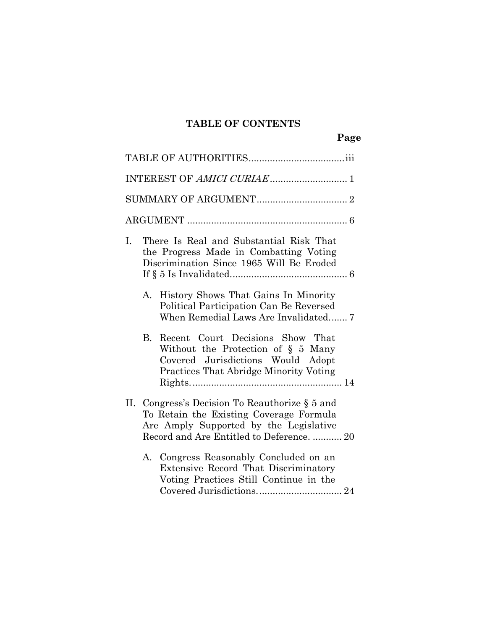# **TABLE OF CONTENTS**

| I. |         | There Is Real and Substantial Risk That<br>the Progress Made in Combatting Voting<br>Discrimination Since 1965 Will Be Eroded                                                     |  |
|----|---------|-----------------------------------------------------------------------------------------------------------------------------------------------------------------------------------|--|
|    | $A_{-}$ | History Shows That Gains In Minority<br>Political Participation Can Be Reversed<br>When Remedial Laws Are Invalidated 7                                                           |  |
|    | B.      | Recent Court Decisions Show That<br>Without the Protection of $\S$ 5 Many<br>Covered Jurisdictions Would Adopt<br>Practices That Abridge Minority Voting                          |  |
|    |         | II. Congress's Decision To Reauthorize $\S$ 5 and<br>To Retain the Existing Coverage Formula<br>Are Amply Supported by the Legislative<br>Record and Are Entitled to Deference 20 |  |
|    |         | A. Congress Reasonably Concluded on an<br>Extensive Record That Discriminatory<br>Voting Practices Still Continue in the                                                          |  |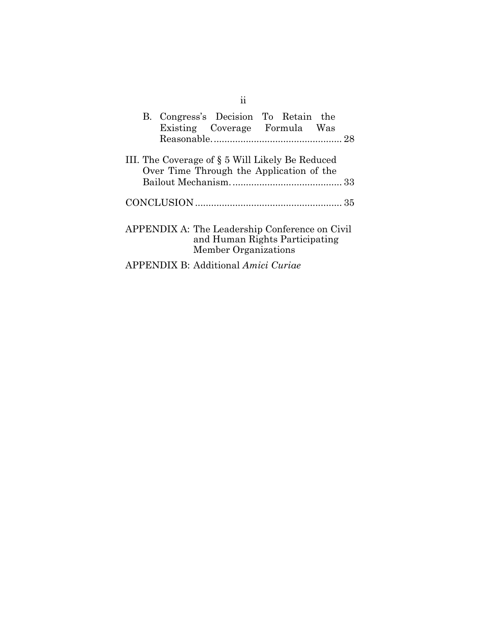|  | B. Congress's Decision To Retain the<br>Existing Coverage Formula Was                                    |  |  |
|--|----------------------------------------------------------------------------------------------------------|--|--|
|  | III. The Coverage of § 5 Will Likely Be Reduced<br>Over Time Through the Application of the              |  |  |
|  |                                                                                                          |  |  |
|  | APPENDIX A: The Leadership Conference on Civil<br>and Human Rights Participating<br>Member Organizations |  |  |
|  | PPENDIX B: Additional Amici Curiae                                                                       |  |  |

ii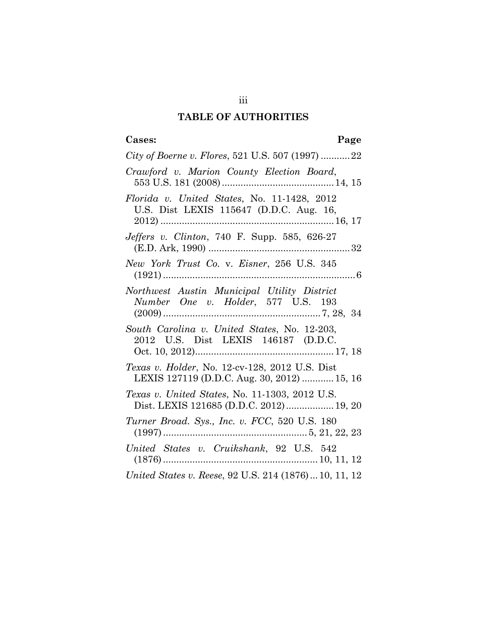# **TABLE OF AUTHORITIES**

## **Cases: Page**

| City of Boerne v. Flores, 521 U.S. 507 (1997) 22                                                      |
|-------------------------------------------------------------------------------------------------------|
| Crawford v. Marion County Election Board,                                                             |
| Florida v. United States, No. 11-1428, 2012<br>U.S. Dist LEXIS 115647 (D.D.C. Aug. 16,                |
| <i>Jeffers v. Clinton</i> , 740 F. Supp. 585, 626-27                                                  |
| New York Trust Co. v. Eisner, 256 U.S. 345                                                            |
| Northwest Austin Municipal Utility District<br>Number One v. Holder, 577 U.S. 193                     |
| South Carolina v. United States, No. 12-203,<br>2012 U.S. Dist LEXIS 146187 (D.D.C.                   |
| <i>Texas v. Holder</i> , No. 12-cv-128, 2012 U.S. Dist<br>LEXIS 127119 (D.D.C. Aug. 30, 2012)  15, 16 |
| Texas v. United States, No. 11-1303, 2012 U.S.<br>Dist. LEXIS 121685 (D.D.C. 2012) 19, 20             |
| Turner Broad. Sys., Inc. v. FCC, 520 U.S. 180                                                         |
| United States v. Cruikshank, 92 U.S. 542                                                              |
| United States v. Reese, 92 U.S. 214 (1876)10, 11, 12                                                  |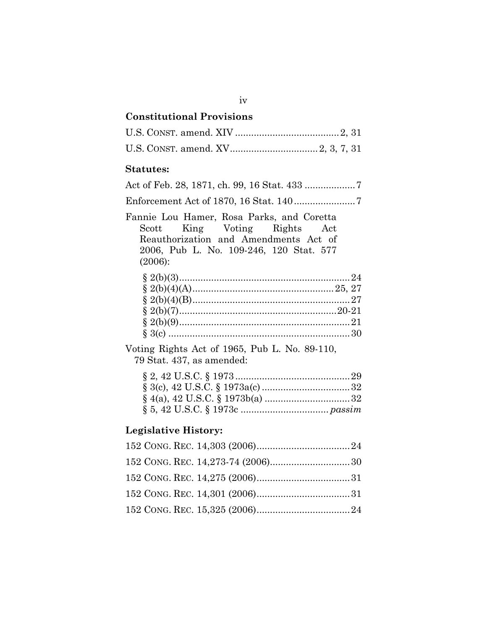# **Constitutional Provisions**

#### **Statutes:**

| Fannie Lou Hamer, Rosa Parks, and Coretta<br>Scott King Voting Rights Act<br>Reauthorization and Amendments Act of<br>2006, Pub L. No. 109-246, 120 Stat. 577<br>$(2006)$ : |
|-----------------------------------------------------------------------------------------------------------------------------------------------------------------------------|
|                                                                                                                                                                             |
|                                                                                                                                                                             |

Voting Rights Act of 1965, Pub L. No. 89-110, 79 Stat. 437, as amended:

| $\S 2, 42 \text{ U.S.C.} \S 1973 \dots$ |  |
|-----------------------------------------|--|
|                                         |  |
|                                         |  |
|                                         |  |
|                                         |  |

# **Legislative History:**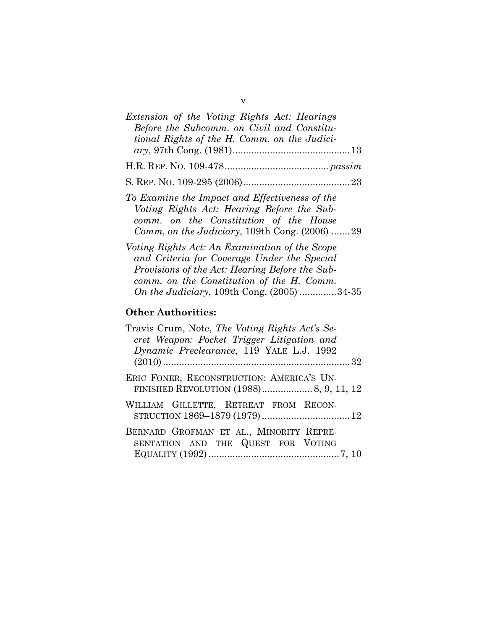| Extension of the Voting Rights Act: Hearings<br>Before the Subcomm. on Civil and Constitu-<br>tional Rights of the H. Comm. on the Judici-                                                                                                  |
|---------------------------------------------------------------------------------------------------------------------------------------------------------------------------------------------------------------------------------------------|
|                                                                                                                                                                                                                                             |
|                                                                                                                                                                                                                                             |
| To Examine the Impact and Effectiveness of the<br>Voting Rights Act: Hearing Before the Sub-<br>comm. on the Constitution of the House<br>Comm, on the Judiciary, 109th Cong. $(2006)$ 29<br>Voting Rights Act: An Examination of the Scope |
| and Criteria for Coverage Under the Special<br>Provisions of the Act: Hearing Before the Sub-<br>comm. on the Constitution of the H. Comm.<br>On the Judiciary, 109th Cong. (2005) 34-35                                                    |
| <b>Other Authorities:</b>                                                                                                                                                                                                                   |
| Travis Crum, Note, The Voting Rights Act's Se-<br>cret Weapon: Pocket Trigger Litigation and<br>Dynamic Preclearance, 119 YALE L.J. 1992                                                                                                    |
| ERIC FONER, RECONSTRUCTION: AMERICA'S UN-<br>FINISHED REVOLUTION (1988) 8, 9, 11, 12                                                                                                                                                        |
| WILLIAM GILLETTE, RETREAT FROM RECON-                                                                                                                                                                                                       |

BERNARD GROFMAN ET AL., MINORITY REPRE-SENTATION AND THE QUEST FOR VOTING EQUALITY (1992) ................................................. 7, 10

v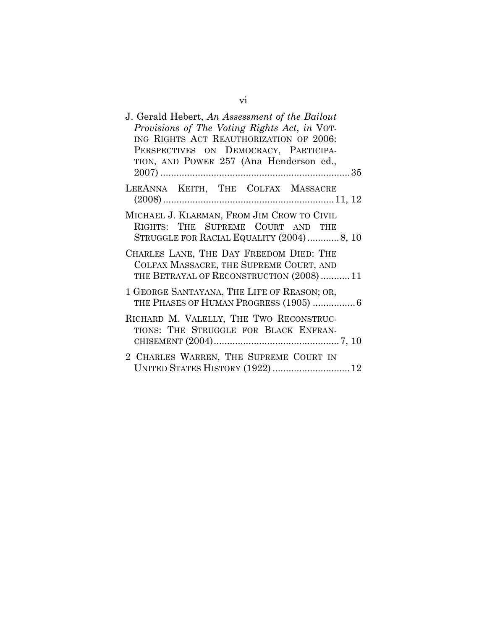| J. Gerald Hebert, An Assessment of the Bailout<br>Provisions of The Voting Rights Act, in VOT-<br>ING RIGHTS ACT REAUTHORIZATION OF 2006:<br>PERSPECTIVES ON DEMOCRACY, PARTICIPA-<br>TION, AND POWER 257 (Ana Henderson ed., |
|-------------------------------------------------------------------------------------------------------------------------------------------------------------------------------------------------------------------------------|
|                                                                                                                                                                                                                               |
| LEEANNA KEITH, THE COLFAX MASSACRE                                                                                                                                                                                            |
| MICHAEL J. KLARMAN, FROM JIM CROW TO CIVIL<br>RIGHTS: THE SUPREME COURT AND THE<br>STRUGGLE FOR RACIAL EQUALITY (2004)8, 10                                                                                                   |
| CHARLES LANE, THE DAY FREEDOM DIED: THE<br>COLFAX MASSACRE, THE SUPREME COURT, AND<br>THE BETRAYAL OF RECONSTRUCTION (2008)11                                                                                                 |
| 1 GEORGE SANTAYANA, THE LIFE OF REASON; OR,<br>THE PHASES OF HUMAN PROGRESS (1905) 6                                                                                                                                          |
| RICHARD M. VALELLY, THE TWO RECONSTRUC-<br>TIONS: THE STRUGGLE FOR BLACK ENFRAN-                                                                                                                                              |
| 2 CHARLES WARREN, THE SUPREME COURT IN<br>UNITED STATES HISTORY (1922)  12                                                                                                                                                    |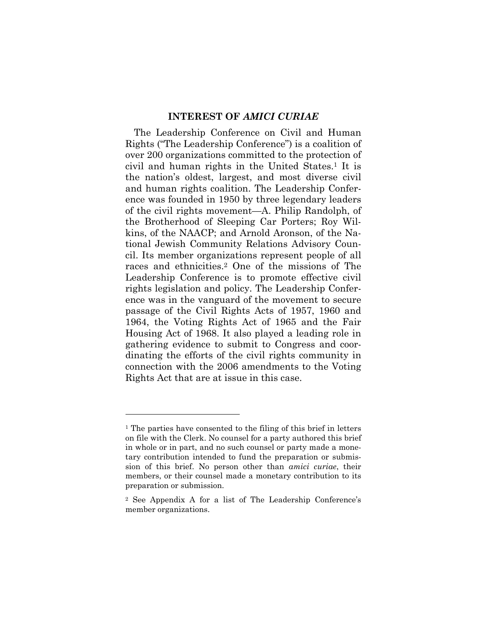#### **INTEREST OF** *AMICI CURIAE*

The Leadership Conference on Civil and Human Rights ("The Leadership Conference") is a coalition of over 200 organizations committed to the protection of civil and human rights in the United States.1 It is the nation's oldest, largest, and most diverse civil and human rights coalition. The Leadership Conference was founded in 1950 by three legendary leaders of the civil rights movement—A. Philip Randolph, of the Brotherhood of Sleeping Car Porters; Roy Wilkins, of the NAACP; and Arnold Aronson, of the National Jewish Community Relations Advisory Council. Its member organizations represent people of all races and ethnicities.2 One of the missions of The Leadership Conference is to promote effective civil rights legislation and policy. The Leadership Conference was in the vanguard of the movement to secure passage of the Civil Rights Acts of 1957, 1960 and 1964, the Voting Rights Act of 1965 and the Fair Housing Act of 1968. It also played a leading role in gathering evidence to submit to Congress and coordinating the efforts of the civil rights community in connection with the 2006 amendments to the Voting Rights Act that are at issue in this case.

<sup>1</sup> The parties have consented to the filing of this brief in letters on file with the Clerk. No counsel for a party authored this brief in whole or in part, and no such counsel or party made a monetary contribution intended to fund the preparation or submission of this brief. No person other than *amici curiae*, their members, or their counsel made a monetary contribution to its preparation or submission.

<sup>2</sup> See Appendix A for a list of The Leadership Conference's member organizations.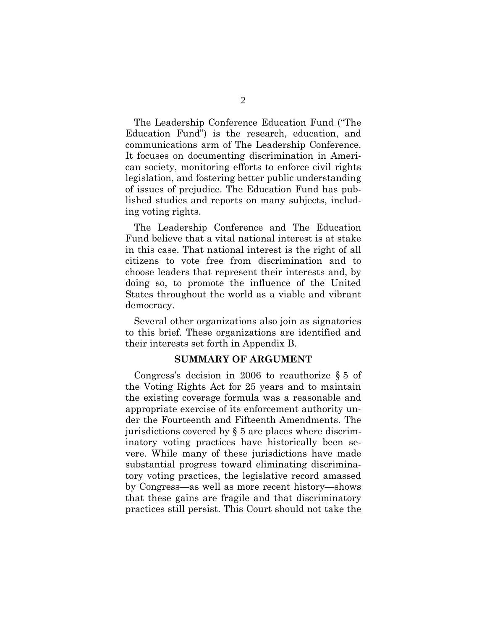The Leadership Conference Education Fund ("The Education Fund") is the research, education, and communications arm of The Leadership Conference. It focuses on documenting discrimination in American society, monitoring efforts to enforce civil rights legislation, and fostering better public understanding of issues of prejudice. The Education Fund has published studies and reports on many subjects, including voting rights.

The Leadership Conference and The Education Fund believe that a vital national interest is at stake in this case. That national interest is the right of all citizens to vote free from discrimination and to choose leaders that represent their interests and, by doing so, to promote the influence of the United States throughout the world as a viable and vibrant democracy.

Several other organizations also join as signatories to this brief. These organizations are identified and their interests set forth in Appendix B.

#### **SUMMARY OF ARGUMENT**

Congress's decision in 2006 to reauthorize § 5 of the Voting Rights Act for 25 years and to maintain the existing coverage formula was a reasonable and appropriate exercise of its enforcement authority under the Fourteenth and Fifteenth Amendments. The jurisdictions covered by § 5 are places where discriminatory voting practices have historically been severe. While many of these jurisdictions have made substantial progress toward eliminating discriminatory voting practices, the legislative record amassed by Congress—as well as more recent history—shows that these gains are fragile and that discriminatory practices still persist. This Court should not take the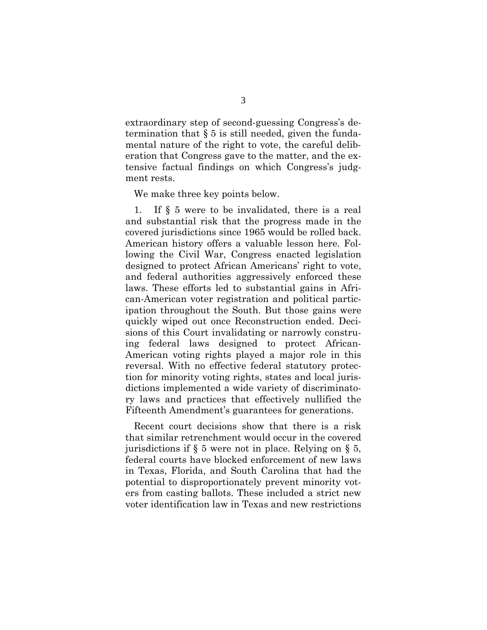extraordinary step of second-guessing Congress's determination that  $\S 5$  is still needed, given the fundamental nature of the right to vote, the careful deliberation that Congress gave to the matter, and the extensive factual findings on which Congress's judgment rests.

We make three key points below.

1. If § 5 were to be invalidated, there is a real and substantial risk that the progress made in the covered jurisdictions since 1965 would be rolled back. American history offers a valuable lesson here. Following the Civil War, Congress enacted legislation designed to protect African Americans' right to vote, and federal authorities aggressively enforced these laws. These efforts led to substantial gains in African-American voter registration and political participation throughout the South. But those gains were quickly wiped out once Reconstruction ended. Decisions of this Court invalidating or narrowly construing federal laws designed to protect African-American voting rights played a major role in this reversal. With no effective federal statutory protection for minority voting rights, states and local jurisdictions implemented a wide variety of discriminatory laws and practices that effectively nullified the Fifteenth Amendment's guarantees for generations.

Recent court decisions show that there is a risk that similar retrenchment would occur in the covered jurisdictions if § 5 were not in place. Relying on § 5, federal courts have blocked enforcement of new laws in Texas, Florida, and South Carolina that had the potential to disproportionately prevent minority voters from casting ballots. These included a strict new voter identification law in Texas and new restrictions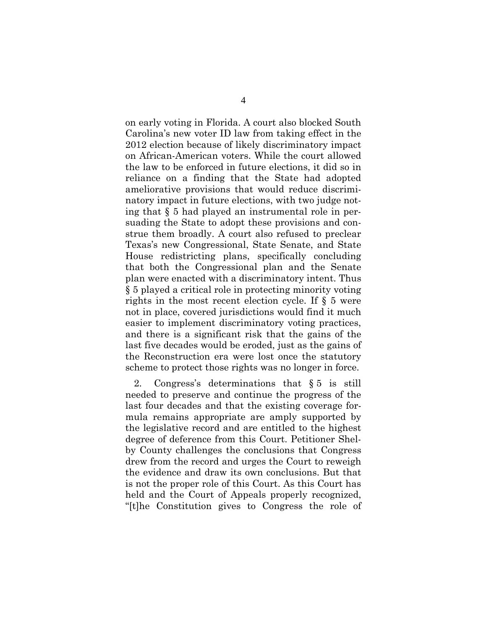on early voting in Florida. A court also blocked South Carolina's new voter ID law from taking effect in the 2012 election because of likely discriminatory impact on African-American voters. While the court allowed the law to be enforced in future elections, it did so in reliance on a finding that the State had adopted ameliorative provisions that would reduce discriminatory impact in future elections, with two judge noting that § 5 had played an instrumental role in persuading the State to adopt these provisions and construe them broadly. A court also refused to preclear Texas's new Congressional, State Senate, and State House redistricting plans, specifically concluding that both the Congressional plan and the Senate plan were enacted with a discriminatory intent. Thus § 5 played a critical role in protecting minority voting rights in the most recent election cycle. If § 5 were not in place, covered jurisdictions would find it much easier to implement discriminatory voting practices, and there is a significant risk that the gains of the last five decades would be eroded, just as the gains of the Reconstruction era were lost once the statutory scheme to protect those rights was no longer in force.

2. Congress's determinations that § 5 is still needed to preserve and continue the progress of the last four decades and that the existing coverage formula remains appropriate are amply supported by the legislative record and are entitled to the highest degree of deference from this Court. Petitioner Shelby County challenges the conclusions that Congress drew from the record and urges the Court to reweigh the evidence and draw its own conclusions. But that is not the proper role of this Court. As this Court has held and the Court of Appeals properly recognized, "[t]he Constitution gives to Congress the role of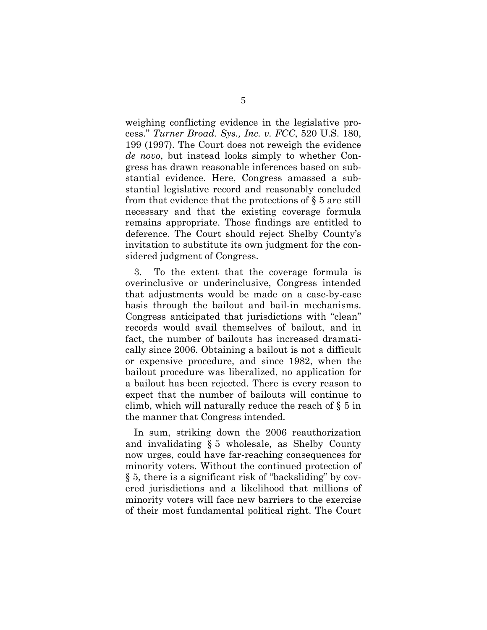weighing conflicting evidence in the legislative process." *Turner Broad. Sys., Inc. v. FCC*, 520 U.S. 180, 199 (1997). The Court does not reweigh the evidence *de novo*, but instead looks simply to whether Congress has drawn reasonable inferences based on substantial evidence. Here, Congress amassed a substantial legislative record and reasonably concluded from that evidence that the protections of § 5 are still necessary and that the existing coverage formula remains appropriate. Those findings are entitled to deference. The Court should reject Shelby County's invitation to substitute its own judgment for the considered judgment of Congress.

3. To the extent that the coverage formula is overinclusive or underinclusive, Congress intended that adjustments would be made on a case-by-case basis through the bailout and bail-in mechanisms. Congress anticipated that jurisdictions with "clean" records would avail themselves of bailout, and in fact, the number of bailouts has increased dramatically since 2006. Obtaining a bailout is not a difficult or expensive procedure, and since 1982, when the bailout procedure was liberalized, no application for a bailout has been rejected. There is every reason to expect that the number of bailouts will continue to climb, which will naturally reduce the reach of § 5 in the manner that Congress intended.

In sum, striking down the 2006 reauthorization and invalidating § 5 wholesale, as Shelby County now urges, could have far-reaching consequences for minority voters. Without the continued protection of § 5, there is a significant risk of "backsliding" by covered jurisdictions and a likelihood that millions of minority voters will face new barriers to the exercise of their most fundamental political right. The Court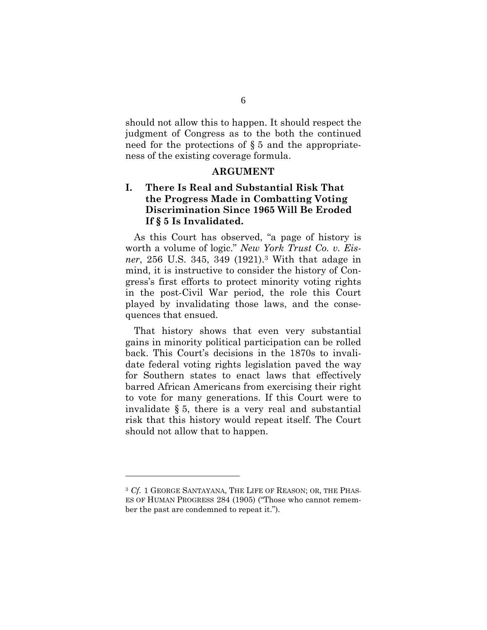should not allow this to happen. It should respect the judgment of Congress as to the both the continued need for the protections of § 5 and the appropriateness of the existing coverage formula.

## **ARGUMENT**

# **I. There Is Real and Substantial Risk That the Progress Made in Combatting Voting Discrimination Since 1965 Will Be Eroded If § 5 Is Invalidated.**

As this Court has observed, "a page of history is worth a volume of logic." *New York Trust Co. v. Eisner*, 256 U.S. 345, 349 (1921).3 With that adage in mind, it is instructive to consider the history of Congress's first efforts to protect minority voting rights in the post-Civil War period, the role this Court played by invalidating those laws, and the consequences that ensued.

That history shows that even very substantial gains in minority political participation can be rolled back. This Court's decisions in the 1870s to invalidate federal voting rights legislation paved the way for Southern states to enact laws that effectively barred African Americans from exercising their right to vote for many generations. If this Court were to invalidate § 5, there is a very real and substantial risk that this history would repeat itself. The Court should not allow that to happen.

<sup>3</sup> *Cf.* 1 GEORGE SANTAYANA, THE LIFE OF REASON; OR, THE PHAS-ES OF HUMAN PROGRESS 284 (1905) ("Those who cannot remember the past are condemned to repeat it.").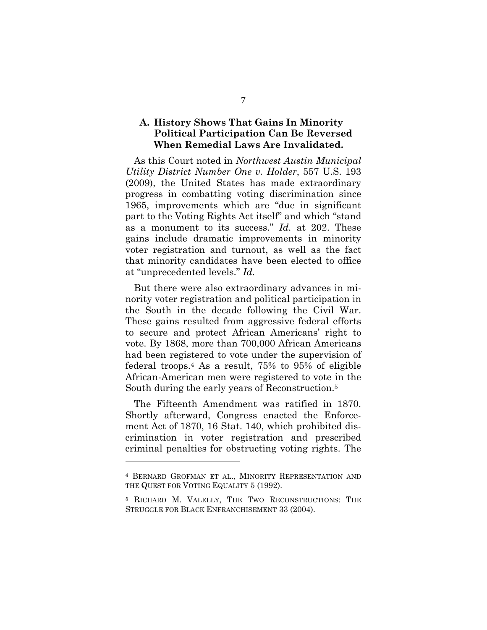# **A. History Shows That Gains In Minority Political Participation Can Be Reversed When Remedial Laws Are Invalidated.**

As this Court noted in *Northwest Austin Municipal Utility District Number One v. Holder*, 557 U.S. 193 (2009), the United States has made extraordinary progress in combatting voting discrimination since 1965, improvements which are "due in significant part to the Voting Rights Act itself" and which "stand as a monument to its success." *Id.* at 202. These gains include dramatic improvements in minority voter registration and turnout, as well as the fact that minority candidates have been elected to office at "unprecedented levels." *Id.*

But there were also extraordinary advances in minority voter registration and political participation in the South in the decade following the Civil War. These gains resulted from aggressive federal efforts to secure and protect African Americans' right to vote. By 1868, more than 700,000 African Americans had been registered to vote under the supervision of federal troops.4 As a result, 75% to 95% of eligible African-American men were registered to vote in the South during the early years of Reconstruction.5

The Fifteenth Amendment was ratified in 1870. Shortly afterward, Congress enacted the Enforcement Act of 1870, 16 Stat. 140, which prohibited discrimination in voter registration and prescribed criminal penalties for obstructing voting rights. The

<sup>4</sup> BERNARD GROFMAN ET AL., MINORITY REPRESENTATION AND THE QUEST FOR VOTING EQUALITY 5 (1992).

<sup>5</sup> RICHARD M. VALELLY, THE TWO RECONSTRUCTIONS: THE STRUGGLE FOR BLACK ENFRANCHISEMENT 33 (2004).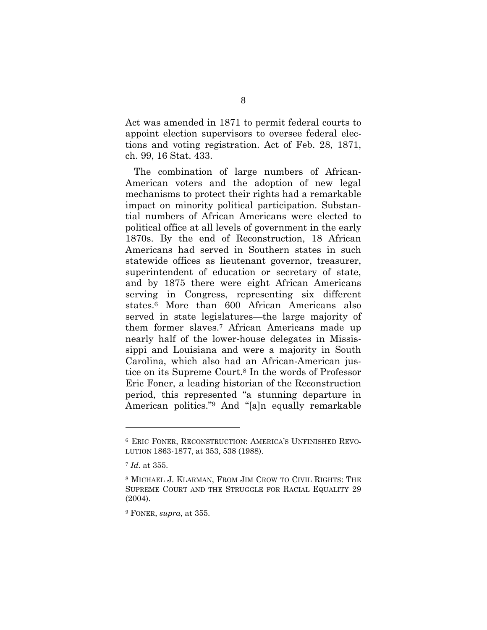Act was amended in 1871 to permit federal courts to appoint election supervisors to oversee federal elections and voting registration. Act of Feb. 28, 1871, ch. 99, 16 Stat. 433.

The combination of large numbers of African-American voters and the adoption of new legal mechanisms to protect their rights had a remarkable impact on minority political participation. Substantial numbers of African Americans were elected to political office at all levels of government in the early 1870s. By the end of Reconstruction, 18 African Americans had served in Southern states in such statewide offices as lieutenant governor, treasurer, superintendent of education or secretary of state, and by 1875 there were eight African Americans serving in Congress, representing six different states.6 More than 600 African Americans also served in state legislatures—the large majority of them former slaves.7 African Americans made up nearly half of the lower-house delegates in Mississippi and Louisiana and were a majority in South Carolina, which also had an African-American justice on its Supreme Court.8 In the words of Professor Eric Foner, a leading historian of the Reconstruction period, this represented "a stunning departure in American politics."9 And "[a]n equally remarkable

<sup>6</sup> ERIC FONER, RECONSTRUCTION: AMERICA'S UNFINISHED REVO-LUTION 1863-1877, at 353, 538 (1988).

<sup>7</sup> *Id.* at 355.

<sup>8</sup> MICHAEL J. KLARMAN, FROM JIM CROW TO CIVIL RIGHTS: THE SUPREME COURT AND THE STRUGGLE FOR RACIAL EQUALITY 29 (2004).

<sup>9</sup> FONER, *supra*, at 355.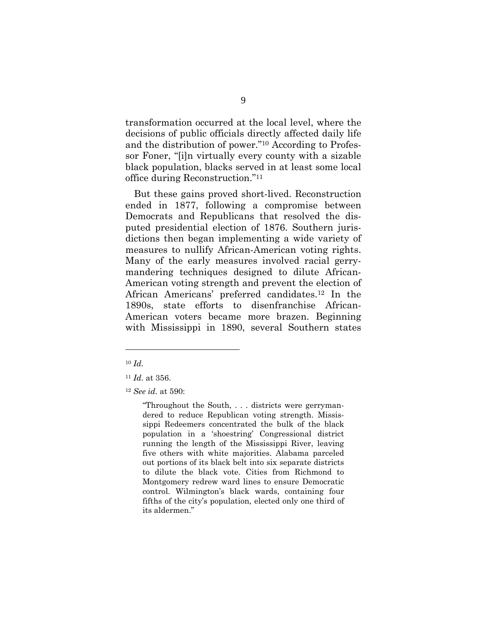transformation occurred at the local level, where the decisions of public officials directly affected daily life and the distribution of power."10 According to Professor Foner, "[i]n virtually every county with a sizable black population, blacks served in at least some local office during Reconstruction."11

But these gains proved short-lived. Reconstruction ended in 1877, following a compromise between Democrats and Republicans that resolved the disputed presidential election of 1876. Southern jurisdictions then began implementing a wide variety of measures to nullify African-American voting rights. Many of the early measures involved racial gerrymandering techniques designed to dilute African-American voting strength and prevent the election of African Americans' preferred candidates.12 In the 1890s, state efforts to disenfranchise African-American voters became more brazen. Beginning with Mississippi in 1890, several Southern states

l

"Throughout the South, . . . districts were gerrymandered to reduce Republican voting strength. Mississippi Redeemers concentrated the bulk of the black population in a 'shoestring' Congressional district running the length of the Mississippi River, leaving five others with white majorities. Alabama parceled out portions of its black belt into six separate districts to dilute the black vote. Cities from Richmond to Montgomery redrew ward lines to ensure Democratic control. Wilmington's black wards, containing four fifths of the city's population, elected only one third of its aldermen."

<sup>10</sup> *Id.*

<sup>11</sup> *Id.* at 356.

<sup>12</sup> *See id.* at 590: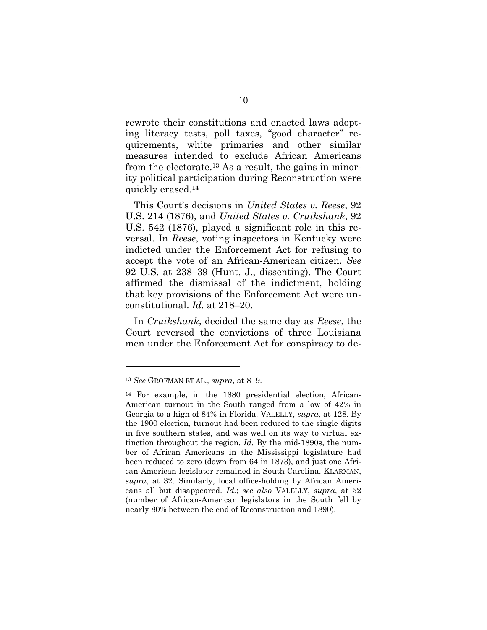rewrote their constitutions and enacted laws adopting literacy tests, poll taxes, "good character" requirements, white primaries and other similar measures intended to exclude African Americans from the electorate.13 As a result, the gains in minority political participation during Reconstruction were quickly erased.14

This Court's decisions in *United States v. Reese*, 92 U.S. 214 (1876), and *United States v. Cruikshank*, 92 U.S. 542 (1876), played a significant role in this reversal. In *Reese*, voting inspectors in Kentucky were indicted under the Enforcement Act for refusing to accept the vote of an African-American citizen. *See*  92 U.S. at 238–39 (Hunt, J., dissenting). The Court affirmed the dismissal of the indictment, holding that key provisions of the Enforcement Act were unconstitutional. *Id.* at 218–20.

In *Cruikshank*, decided the same day as *Reese*, the Court reversed the convictions of three Louisiana men under the Enforcement Act for conspiracy to de-

<sup>13</sup> *See* GROFMAN ET AL., *supra*, at 8–9.

<sup>14</sup> For example, in the 1880 presidential election, African-American turnout in the South ranged from a low of 42% in Georgia to a high of 84% in Florida. VALELLY, *supra*, at 128. By the 1900 election, turnout had been reduced to the single digits in five southern states, and was well on its way to virtual extinction throughout the region. *Id.* By the mid-1890s, the number of African Americans in the Mississippi legislature had been reduced to zero (down from 64 in 1873), and just one African-American legislator remained in South Carolina. KLARMAN, *supra*, at 32. Similarly, local office-holding by African Americans all but disappeared. *Id.*; *see also* VALELLY, *supra*, at 52 (number of African-American legislators in the South fell by nearly 80% between the end of Reconstruction and 1890).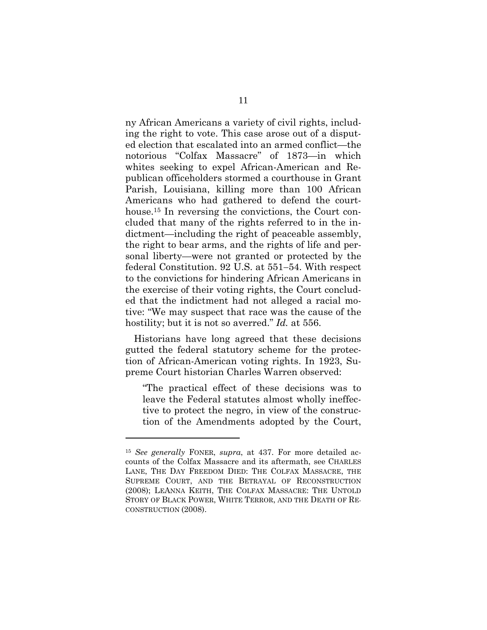ny African Americans a variety of civil rights, including the right to vote. This case arose out of a disputed election that escalated into an armed conflict—the notorious "Colfax Massacre" of 1873—in which whites seeking to expel African-American and Republican officeholders stormed a courthouse in Grant Parish, Louisiana, killing more than 100 African Americans who had gathered to defend the courthouse.15 In reversing the convictions, the Court concluded that many of the rights referred to in the indictment—including the right of peaceable assembly, the right to bear arms, and the rights of life and personal liberty—were not granted or protected by the federal Constitution.  $92$  U.S. at  $551-54$ . With respect to the convictions for hindering African Americans in the exercise of their voting rights, the Court concluded that the indictment had not alleged a racial motive: "We may suspect that race was the cause of the hostility; but it is not so averred." *Id.* at 556.

Historians have long agreed that these decisions gutted the federal statutory scheme for the protection of African-American voting rights. In 1923, Supreme Court historian Charles Warren observed:

"The practical effect of these decisions was to leave the Federal statutes almost wholly ineffective to protect the negro, in view of the construction of the Amendments adopted by the Court,

<sup>15</sup> *See generally* FONER, *supra*, at 437. For more detailed accounts of the Colfax Massacre and its aftermath, see CHARLES LANE, THE DAY FREEDOM DIED: THE COLFAX MASSACRE, THE SUPREME COURT, AND THE BETRAYAL OF RECONSTRUCTION (2008); LEANNA KEITH, THE COLFAX MASSACRE: THE UNTOLD STORY OF BLACK POWER, WHITE TERROR, AND THE DEATH OF RE-CONSTRUCTION (2008).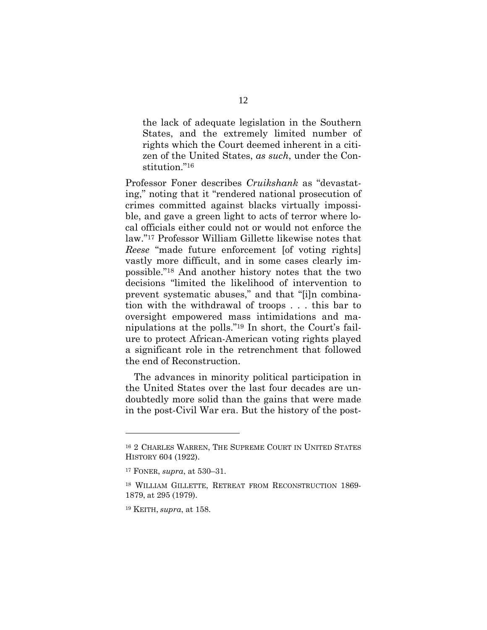the lack of adequate legislation in the Southern States, and the extremely limited number of rights which the Court deemed inherent in a citizen of the United States, *as such*, under the Constitution."<sup>16</sup>

Professor Foner describes *Cruikshank* as "devastating," noting that it "rendered national prosecution of crimes committed against blacks virtually impossible, and gave a green light to acts of terror where local officials either could not or would not enforce the law."17 Professor William Gillette likewise notes that *Reese* "made future enforcement [of voting rights] vastly more difficult, and in some cases clearly impossible."18 And another history notes that the two decisions "limited the likelihood of intervention to prevent systematic abuses," and that "[i]n combination with the withdrawal of troops . . . this bar to oversight empowered mass intimidations and manipulations at the polls."19 In short, the Court's failure to protect African-American voting rights played a significant role in the retrenchment that followed the end of Reconstruction.

The advances in minority political participation in the United States over the last four decades are undoubtedly more solid than the gains that were made in the post-Civil War era. But the history of the post-

<sup>16 2</sup> CHARLES WARREN, THE SUPREME COURT IN UNITED STATES HISTORY 604 (1922).

<sup>17</sup> FONER, *supra*, at 530–31.

<sup>18</sup> WILLIAM GILLETTE, RETREAT FROM RECONSTRUCTION 1869- 1879, at 295 (1979).

<sup>19</sup> KEITH, *supra*, at 158.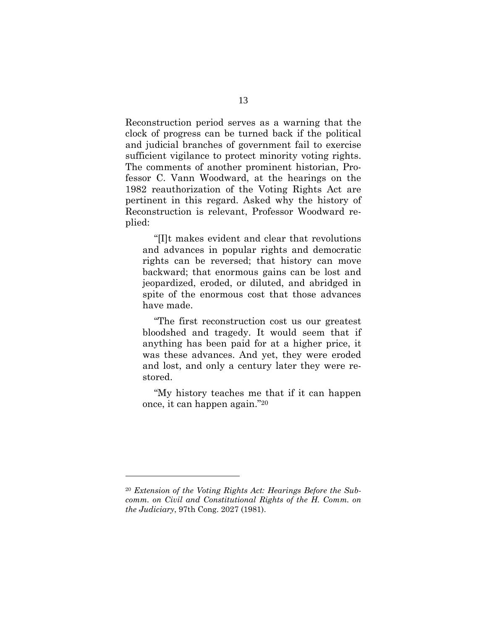Reconstruction period serves as a warning that the clock of progress can be turned back if the political and judicial branches of government fail to exercise sufficient vigilance to protect minority voting rights. The comments of another prominent historian, Professor C. Vann Woodward, at the hearings on the 1982 reauthorization of the Voting Rights Act are pertinent in this regard. Asked why the history of Reconstruction is relevant, Professor Woodward replied:

 "[I]t makes evident and clear that revolutions and advances in popular rights and democratic rights can be reversed; that history can move backward; that enormous gains can be lost and jeopardized, eroded, or diluted, and abridged in spite of the enormous cost that those advances have made.

 "The first reconstruction cost us our greatest bloodshed and tragedy. It would seem that if anything has been paid for at a higher price, it was these advances. And yet, they were eroded and lost, and only a century later they were restored.

 "My history teaches me that if it can happen once, it can happen again."20

<sup>20</sup> *Extension of the Voting Rights Act: Hearings Before the Subcomm. on Civil and Constitutional Rights of the H. Comm. on the Judiciary*, 97th Cong. 2027 (1981).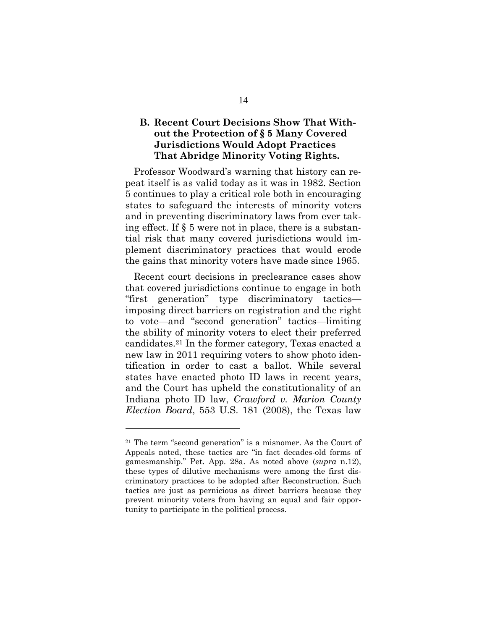# **B. Recent Court Decisions Show That Without the Protection of § 5 Many Covered Jurisdictions Would Adopt Practices That Abridge Minority Voting Rights.**

Professor Woodward's warning that history can repeat itself is as valid today as it was in 1982. Section 5 continues to play a critical role both in encouraging states to safeguard the interests of minority voters and in preventing discriminatory laws from ever taking effect. If § 5 were not in place, there is a substantial risk that many covered jurisdictions would implement discriminatory practices that would erode the gains that minority voters have made since 1965.

Recent court decisions in preclearance cases show that covered jurisdictions continue to engage in both "first generation" type discriminatory tactics imposing direct barriers on registration and the right to vote—and "second generation" tactics—limiting the ability of minority voters to elect their preferred candidates.21 In the former category, Texas enacted a new law in 2011 requiring voters to show photo identification in order to cast a ballot. While several states have enacted photo ID laws in recent years, and the Court has upheld the constitutionality of an Indiana photo ID law, *Crawford v. Marion County Election Board*, 553 U.S. 181 (2008), the Texas law

<sup>21</sup> The term "second generation" is a misnomer. As the Court of Appeals noted, these tactics are "in fact decades-old forms of gamesmanship." Pet. App. 28a. As noted above (*supra* n.12), these types of dilutive mechanisms were among the first discriminatory practices to be adopted after Reconstruction. Such tactics are just as pernicious as direct barriers because they prevent minority voters from having an equal and fair opportunity to participate in the political process.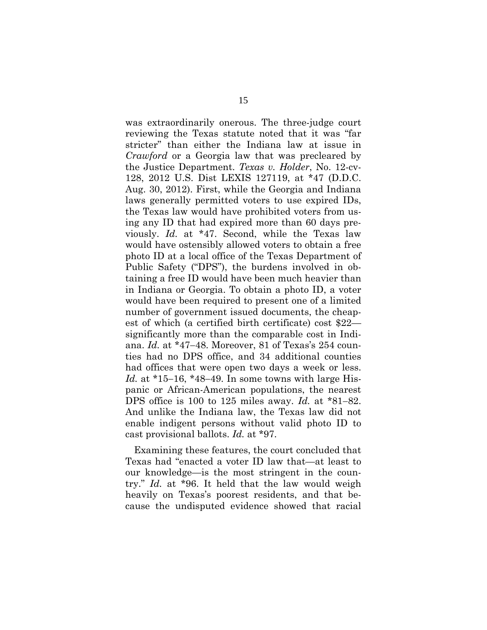was extraordinarily onerous. The three-judge court reviewing the Texas statute noted that it was "far stricter" than either the Indiana law at issue in *Crawford* or a Georgia law that was precleared by the Justice Department. *Texas v. Holder*, No. 12-cv-128, 2012 U.S. Dist LEXIS 127119, at \*47 (D.D.C. Aug. 30, 2012). First, while the Georgia and Indiana laws generally permitted voters to use expired IDs, the Texas law would have prohibited voters from using any ID that had expired more than 60 days previously. *Id.* at \*47. Second, while the Texas law would have ostensibly allowed voters to obtain a free photo ID at a local office of the Texas Department of Public Safety ("DPS"), the burdens involved in obtaining a free ID would have been much heavier than in Indiana or Georgia. To obtain a photo ID, a voter would have been required to present one of a limited number of government issued documents, the cheapest of which (a certified birth certificate) cost \$22 significantly more than the comparable cost in Indiana. *Id.* at \*47-48. Moreover, 81 of Texas's 254 counties had no DPS office, and 34 additional counties had offices that were open two days a week or less. *Id.* at  $*15-16$ ,  $*48-49$ . In some towns with large Hispanic or African-American populations, the nearest DPS office is 100 to 125 miles away. *Id.* at  $*81-82$ . And unlike the Indiana law, the Texas law did not enable indigent persons without valid photo ID to cast provisional ballots. *Id.* at \*97.

Examining these features, the court concluded that Texas had "enacted a voter ID law that—at least to our knowledge—is the most stringent in the country." *Id.* at \*96. It held that the law would weigh heavily on Texas's poorest residents, and that because the undisputed evidence showed that racial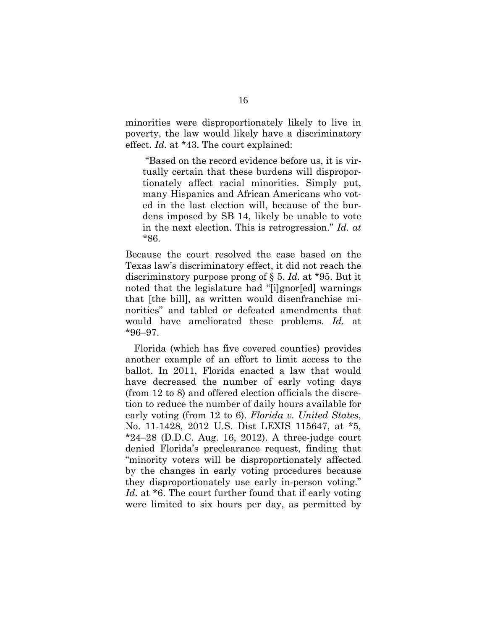minorities were disproportionately likely to live in poverty, the law would likely have a discriminatory effect. *Id.* at \*43. The court explained:

 "Based on the record evidence before us, it is virtually certain that these burdens will disproportionately affect racial minorities. Simply put, many Hispanics and African Americans who voted in the last election will, because of the burdens imposed by SB 14, likely be unable to vote in the next election. This is retrogression." *Id. at \**86.

Because the court resolved the case based on the Texas law's discriminatory effect, it did not reach the discriminatory purpose prong of § 5. *Id.* at *\**95. But it noted that the legislature had "[i]gnor[ed] warnings that [the bill], as written would disenfranchise minorities" and tabled or defeated amendments that would have ameliorated these problems. *Id.* at  $*96 - 97.$ 

Florida (which has five covered counties) provides another example of an effort to limit access to the ballot. In 2011, Florida enacted a law that would have decreased the number of early voting days (from 12 to 8) and offered election officials the discretion to reduce the number of daily hours available for early voting (from 12 to 6). *Florida v. United States*, No. 11-1428, 2012 U.S. Dist LEXIS 115647, at \*5,  $*24-28$  (D.D.C. Aug. 16, 2012). A three-judge court denied Florida's preclearance request, finding that "minority voters will be disproportionately affected by the changes in early voting procedures because they disproportionately use early in-person voting." *Id*. at \*6. The court further found that if early voting were limited to six hours per day, as permitted by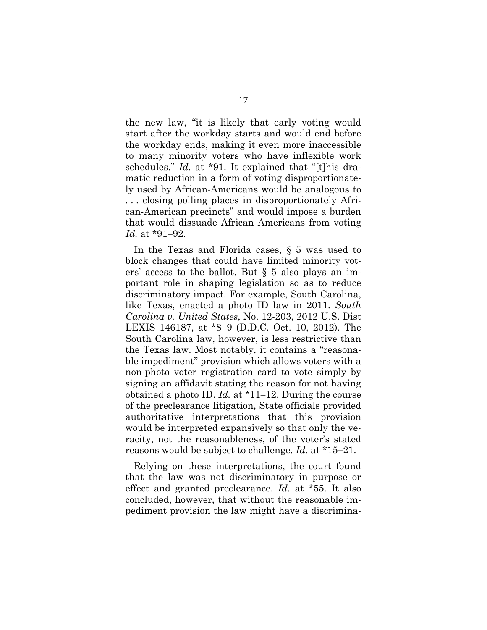the new law, "it is likely that early voting would start after the workday starts and would end before the workday ends, making it even more inaccessible to many minority voters who have inflexible work schedules." *Id.* at \*91. It explained that "[t]his dramatic reduction in a form of voting disproportionately used by African-Americans would be analogous to . . . closing polling places in disproportionately African-American precincts" and would impose a burden that would dissuade African Americans from voting *Id.* at \*91-92.

 In the Texas and Florida cases, § 5 was used to block changes that could have limited minority voters' access to the ballot. But § 5 also plays an important role in shaping legislation so as to reduce discriminatory impact. For example, South Carolina, like Texas, enacted a photo ID law in 2011. *South Carolina v. United States*, No. 12-203, 2012 U.S. Dist LEXIS 146187, at  $*8-9$  (D.D.C. Oct. 10, 2012). The South Carolina law, however, is less restrictive than the Texas law. Most notably, it contains a "reasonable impediment" provision which allows voters with a non-photo voter registration card to vote simply by signing an affidavit stating the reason for not having obtained a photo ID.  $Id.$  at \*11–12. During the course of the preclearance litigation, State officials provided authoritative interpretations that this provision would be interpreted expansively so that only the veracity, not the reasonableness, of the voter's stated reasons would be subject to challenge. *Id.* at \*15-21.

 Relying on these interpretations, the court found that the law was not discriminatory in purpose or effect and granted preclearance. *Id.* at \*55. It also concluded, however, that without the reasonable impediment provision the law might have a discrimina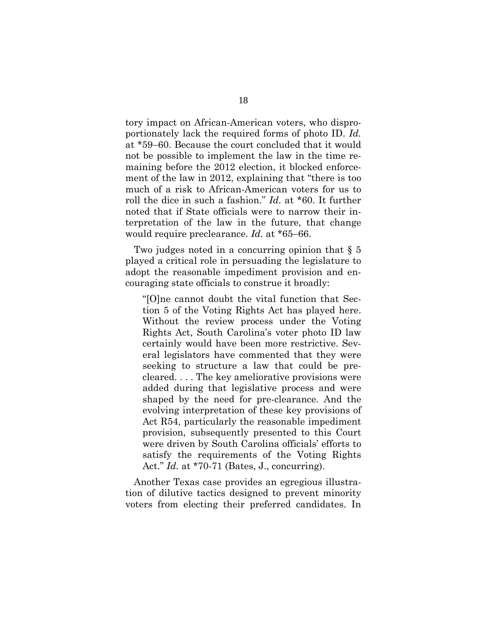tory impact on African-American voters, who disproportionately lack the required forms of photo ID. *Id.* at \*59–60. Because the court concluded that it would not be possible to implement the law in the time remaining before the 2012 election, it blocked enforcement of the law in 2012, explaining that "there is too much of a risk to African-American voters for us to roll the dice in such a fashion." *Id.* at \*60. It further noted that if State officials were to narrow their interpretation of the law in the future, that change would require preclearance. *Id.* at \*65–66.

 Two judges noted in a concurring opinion that § 5 played a critical role in persuading the legislature to adopt the reasonable impediment provision and encouraging state officials to construe it broadly:

"[O]ne cannot doubt the vital function that Section 5 of the Voting Rights Act has played here. Without the review process under the Voting Rights Act, South Carolina's voter photo ID law certainly would have been more restrictive. Several legislators have commented that they were seeking to structure a law that could be precleared. . . . The key ameliorative provisions were added during that legislative process and were shaped by the need for pre-clearance. And the evolving interpretation of these key provisions of Act R54, particularly the reasonable impediment provision, subsequently presented to this Court were driven by South Carolina officials' efforts to satisfy the requirements of the Voting Rights Act." *Id.* at \*70-71 (Bates, J., concurring).

 Another Texas case provides an egregious illustration of dilutive tactics designed to prevent minority voters from electing their preferred candidates. In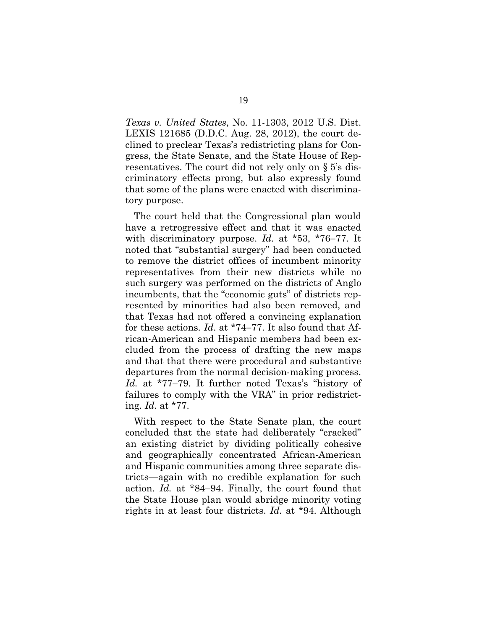*Texas v. United States*, No. 11-1303, 2012 U.S. Dist. LEXIS 121685 (D.D.C. Aug. 28, 2012), the court declined to preclear Texas's redistricting plans for Congress, the State Senate, and the State House of Representatives. The court did not rely only on § 5's discriminatory effects prong, but also expressly found that some of the plans were enacted with discriminatory purpose.

The court held that the Congressional plan would have a retrogressive effect and that it was enacted with discriminatory purpose. *Id.* at \*53, \*76-77. It noted that "substantial surgery" had been conducted to remove the district offices of incumbent minority representatives from their new districts while no such surgery was performed on the districts of Anglo incumbents, that the "economic guts" of districts represented by minorities had also been removed, and that Texas had not offered a convincing explanation for these actions. *Id.* at \*74-77. It also found that African-American and Hispanic members had been excluded from the process of drafting the new maps and that that there were procedural and substantive departures from the normal decision-making process. *Id.* at \*77–79. It further noted Texas's "history of failures to comply with the VRA" in prior redistricting. *Id.* at \*77.

With respect to the State Senate plan, the court concluded that the state had deliberately "cracked" an existing district by dividing politically cohesive and geographically concentrated African-American and Hispanic communities among three separate districts—again with no credible explanation for such action. *Id.* at \*84–94. Finally, the court found that the State House plan would abridge minority voting rights in at least four districts. *Id.* at \*94. Although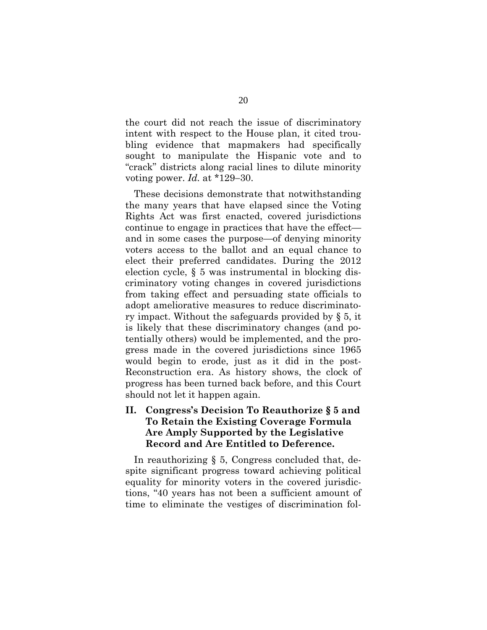the court did not reach the issue of discriminatory intent with respect to the House plan, it cited troubling evidence that mapmakers had specifically sought to manipulate the Hispanic vote and to "crack" districts along racial lines to dilute minority voting power. *Id.* at  $*129-30$ .

These decisions demonstrate that notwithstanding the many years that have elapsed since the Voting Rights Act was first enacted, covered jurisdictions continue to engage in practices that have the effect and in some cases the purpose—of denying minority voters access to the ballot and an equal chance to elect their preferred candidates. During the 2012 election cycle, § 5 was instrumental in blocking discriminatory voting changes in covered jurisdictions from taking effect and persuading state officials to adopt ameliorative measures to reduce discriminatory impact. Without the safeguards provided by § 5, it is likely that these discriminatory changes (and potentially others) would be implemented, and the progress made in the covered jurisdictions since 1965 would begin to erode, just as it did in the post-Reconstruction era. As history shows, the clock of progress has been turned back before, and this Court should not let it happen again.

# **II. Congress's Decision To Reauthorize § 5 and To Retain the Existing Coverage Formula Are Amply Supported by the Legislative Record and Are Entitled to Deference.**

In reauthorizing § 5, Congress concluded that, despite significant progress toward achieving political equality for minority voters in the covered jurisdictions, "40 years has not been a sufficient amount of time to eliminate the vestiges of discrimination fol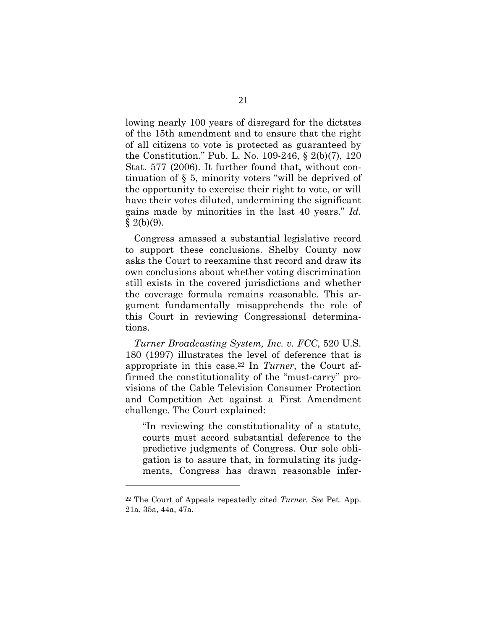lowing nearly 100 years of disregard for the dictates of the 15th amendment and to ensure that the right of all citizens to vote is protected as guaranteed by the Constitution." Pub. L. No. 109-246, § 2(b)(7), 120 Stat. 577 (2006). It further found that, without continuation of § 5, minority voters "will be deprived of the opportunity to exercise their right to vote, or will have their votes diluted, undermining the significant gains made by minorities in the last 40 years." *Id.*  $§$  2(b)(9).

Congress amassed a substantial legislative record to support these conclusions. Shelby County now asks the Court to reexamine that record and draw its own conclusions about whether voting discrimination still exists in the covered jurisdictions and whether the coverage formula remains reasonable. This argument fundamentally misapprehends the role of this Court in reviewing Congressional determinations.

*Turner Broadcasting System, Inc. v. FCC*, 520 U.S. 180 (1997) illustrates the level of deference that is appropriate in this case.22 In *Turner*, the Court affirmed the constitutionality of the "must-carry" provisions of the Cable Television Consumer Protection and Competition Act against a First Amendment challenge. The Court explained:

"In reviewing the constitutionality of a statute, courts must accord substantial deference to the predictive judgments of Congress. Our sole obligation is to assure that, in formulating its judgments, Congress has drawn reasonable infer-

<sup>22</sup> The Court of Appeals repeatedly cited *Turner. See* Pet. App. 21a, 35a, 44a, 47a.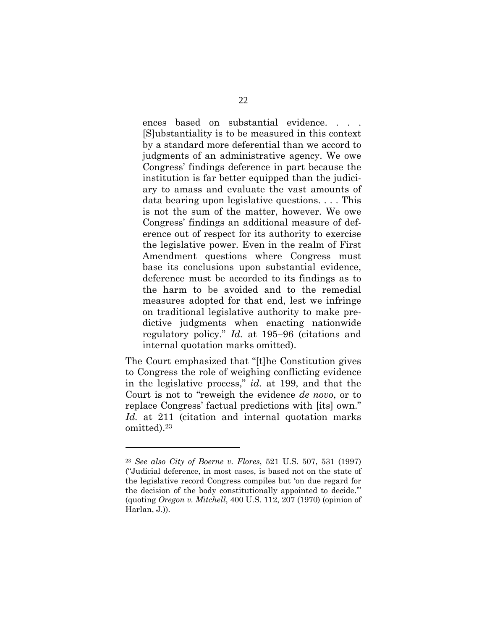ences based on substantial evidence. . . . [S]ubstantiality is to be measured in this context by a standard more deferential than we accord to judgments of an administrative agency. We owe Congress' findings deference in part because the institution is far better equipped than the judiciary to amass and evaluate the vast amounts of data bearing upon legislative questions. . . . This is not the sum of the matter, however. We owe Congress' findings an additional measure of deference out of respect for its authority to exercise the legislative power. Even in the realm of First Amendment questions where Congress must base its conclusions upon substantial evidence, deference must be accorded to its findings as to the harm to be avoided and to the remedial measures adopted for that end, lest we infringe on traditional legislative authority to make predictive judgments when enacting nationwide regulatory policy." *Id.* at 195–96 (citations and internal quotation marks omitted).

The Court emphasized that "[t]he Constitution gives to Congress the role of weighing conflicting evidence in the legislative process," *id.* at 199, and that the Court is not to "reweigh the evidence *de novo*, or to replace Congress' factual predictions with [its] own." *Id.* at 211 (citation and internal quotation marks omitted).23

<sup>23</sup> *See also City of Boerne v. Flores*, 521 U.S. 507, 531 (1997) ("Judicial deference, in most cases, is based not on the state of the legislative record Congress compiles but 'on due regard for the decision of the body constitutionally appointed to decide.'" (quoting *Oregon v. Mitchell*, 400 U.S. 112, 207 (1970) (opinion of Harlan, J.)).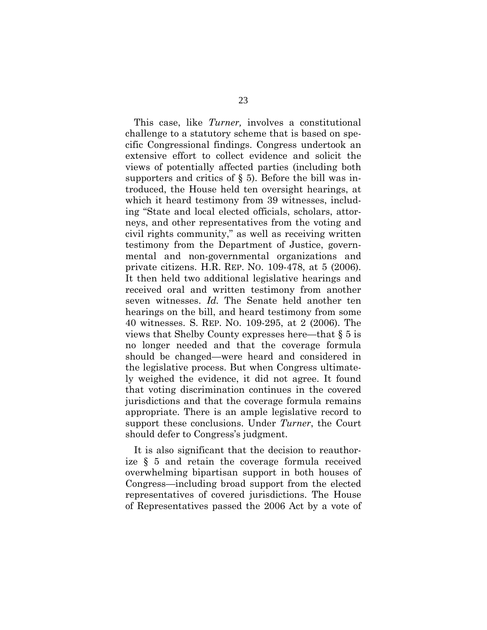This case, like *Turner,* involves a constitutional challenge to a statutory scheme that is based on specific Congressional findings. Congress undertook an extensive effort to collect evidence and solicit the views of potentially affected parties (including both supporters and critics of  $\S$  5). Before the bill was introduced, the House held ten oversight hearings, at which it heard testimony from 39 witnesses, including "State and local elected officials, scholars, attorneys, and other representatives from the voting and civil rights community," as well as receiving written testimony from the Department of Justice, governmental and non-governmental organizations and private citizens. H.R. REP. NO. 109-478, at 5 (2006). It then held two additional legislative hearings and received oral and written testimony from another seven witnesses. *Id.* The Senate held another ten hearings on the bill, and heard testimony from some 40 witnesses. S. REP. NO. 109-295, at 2 (2006). The views that Shelby County expresses here—that § 5 is no longer needed and that the coverage formula should be changed—were heard and considered in the legislative process. But when Congress ultimately weighed the evidence, it did not agree. It found that voting discrimination continues in the covered jurisdictions and that the coverage formula remains appropriate. There is an ample legislative record to support these conclusions. Under *Turner*, the Court should defer to Congress's judgment.

 It is also significant that the decision to reauthorize § 5 and retain the coverage formula received overwhelming bipartisan support in both houses of Congress—including broad support from the elected representatives of covered jurisdictions. The House of Representatives passed the 2006 Act by a vote of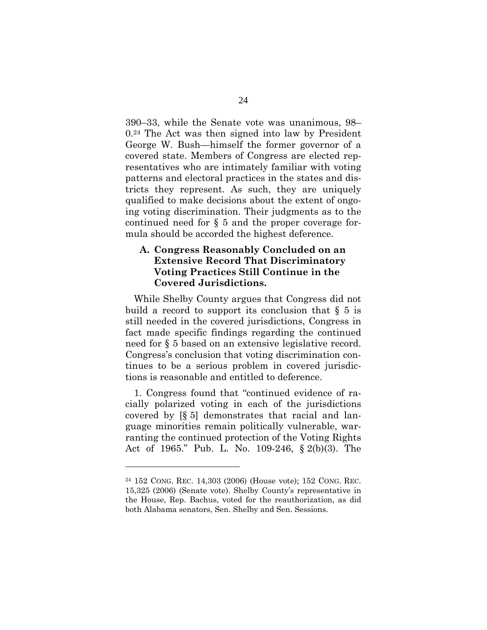390–33, while the Senate vote was unanimous, 98– 0.24 The Act was then signed into law by President George W. Bush—himself the former governor of a covered state. Members of Congress are elected representatives who are intimately familiar with voting patterns and electoral practices in the states and districts they represent. As such, they are uniquely qualified to make decisions about the extent of ongoing voting discrimination. Their judgments as to the continued need for § 5 and the proper coverage formula should be accorded the highest deference.

# **A. Congress Reasonably Concluded on an Extensive Record That Discriminatory Voting Practices Still Continue in the Covered Jurisdictions.**

While Shelby County argues that Congress did not build a record to support its conclusion that  $\S$  5 is still needed in the covered jurisdictions, Congress in fact made specific findings regarding the continued need for § 5 based on an extensive legislative record. Congress's conclusion that voting discrimination continues to be a serious problem in covered jurisdictions is reasonable and entitled to deference.

1. Congress found that "continued evidence of racially polarized voting in each of the jurisdictions covered by [§ 5] demonstrates that racial and language minorities remain politically vulnerable, warranting the continued protection of the Voting Rights Act of 1965." Pub. L. No. 109-246, § 2(b)(3). The

<sup>24 152</sup> CONG. REC. 14,303 (2006) (House vote); 152 CONG. REC. 15,325 (2006) (Senate vote). Shelby County's representative in the House, Rep. Bachus, voted for the reauthorization, as did both Alabama senators, Sen. Shelby and Sen. Sessions.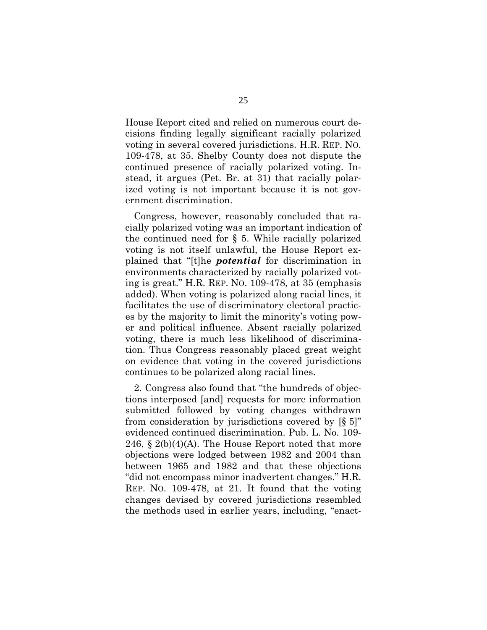House Report cited and relied on numerous court decisions finding legally significant racially polarized voting in several covered jurisdictions. H.R. REP. NO. 109-478, at 35. Shelby County does not dispute the continued presence of racially polarized voting. Instead, it argues (Pet. Br. at 31) that racially polarized voting is not important because it is not government discrimination.

Congress, however, reasonably concluded that racially polarized voting was an important indication of the continued need for § 5. While racially polarized voting is not itself unlawful, the House Report explained that "[t]he *potential* for discrimination in environments characterized by racially polarized voting is great." H.R. REP. NO. 109-478, at 35 (emphasis added). When voting is polarized along racial lines, it facilitates the use of discriminatory electoral practices by the majority to limit the minority's voting power and political influence. Absent racially polarized voting, there is much less likelihood of discrimination. Thus Congress reasonably placed great weight on evidence that voting in the covered jurisdictions continues to be polarized along racial lines.

2. Congress also found that "the hundreds of objections interposed [and] requests for more information submitted followed by voting changes withdrawn from consideration by jurisdictions covered by [§ 5]" evidenced continued discrimination. Pub. L. No. 109- 246,  $\S$  2(b)(4)(A). The House Report noted that more objections were lodged between 1982 and 2004 than between 1965 and 1982 and that these objections "did not encompass minor inadvertent changes." H.R. REP. NO. 109-478, at 21. It found that the voting changes devised by covered jurisdictions resembled the methods used in earlier years, including, "enact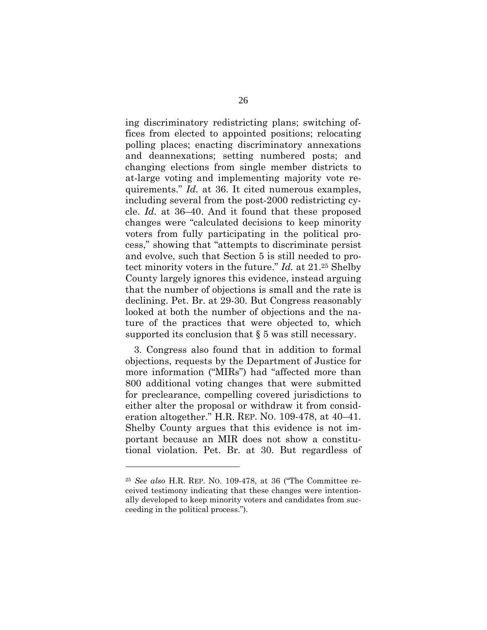ing discriminatory redistricting plans; switching offices from elected to appointed positions; relocating polling places; enacting discriminatory annexations and deannexations; setting numbered posts; and changing elections from single member districts to at-large voting and implementing majority vote requirements." *Id.* at 36. It cited numerous examples, including several from the post-2000 redistricting cycle. *Id.* at 36–40. And it found that these proposed changes were "calculated decisions to keep minority voters from fully participating in the political process," showing that "attempts to discriminate persist and evolve, such that Section 5 is still needed to protect minority voters in the future." *Id.* at 21.25 Shelby County largely ignores this evidence, instead arguing that the number of objections is small and the rate is declining. Pet. Br. at 29-30. But Congress reasonably looked at both the number of objections and the nature of the practices that were objected to, which supported its conclusion that § 5 was still necessary.

 3. Congress also found that in addition to formal objections, requests by the Department of Justice for more information ("MIRs") had "affected more than 800 additional voting changes that were submitted for preclearance, compelling covered jurisdictions to either alter the proposal or withdraw it from consideration altogether." H.R. REP. NO. 109-478, at 40–41. Shelby County argues that this evidence is not important because an MIR does not show a constitutional violation. Pet. Br. at 30. But regardless of

<sup>25</sup> *See also* H.R. REP. NO. 109-478, at 36 ("The Committee received testimony indicating that these changes were intentionally developed to keep minority voters and candidates from succeeding in the political process.").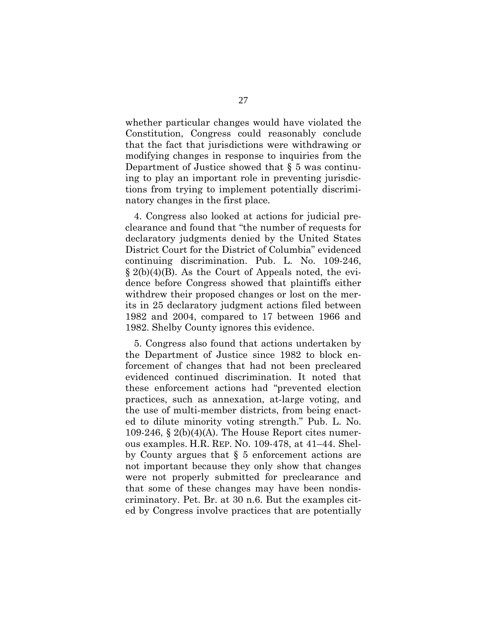whether particular changes would have violated the Constitution, Congress could reasonably conclude that the fact that jurisdictions were withdrawing or modifying changes in response to inquiries from the Department of Justice showed that § 5 was continuing to play an important role in preventing jurisdictions from trying to implement potentially discriminatory changes in the first place.

 4. Congress also looked at actions for judicial preclearance and found that "the number of requests for declaratory judgments denied by the United States District Court for the District of Columbia" evidenced continuing discrimination. Pub. L. No. 109-246, § 2(b)(4)(B). As the Court of Appeals noted, the evidence before Congress showed that plaintiffs either withdrew their proposed changes or lost on the merits in 25 declaratory judgment actions filed between 1982 and 2004, compared to 17 between 1966 and 1982. Shelby County ignores this evidence.

 5. Congress also found that actions undertaken by the Department of Justice since 1982 to block enforcement of changes that had not been precleared evidenced continued discrimination. It noted that these enforcement actions had "prevented election practices, such as annexation, at-large voting, and the use of multi-member districts, from being enacted to dilute minority voting strength." Pub. L. No. 109-246,  $\S 2(b)(4)(A)$ . The House Report cites numerous examples. H.R. REP. NO. 109-478, at 41–44. Shelby County argues that § 5 enforcement actions are not important because they only show that changes were not properly submitted for preclearance and that some of these changes may have been nondiscriminatory. Pet. Br. at 30 n.6. But the examples cited by Congress involve practices that are potentially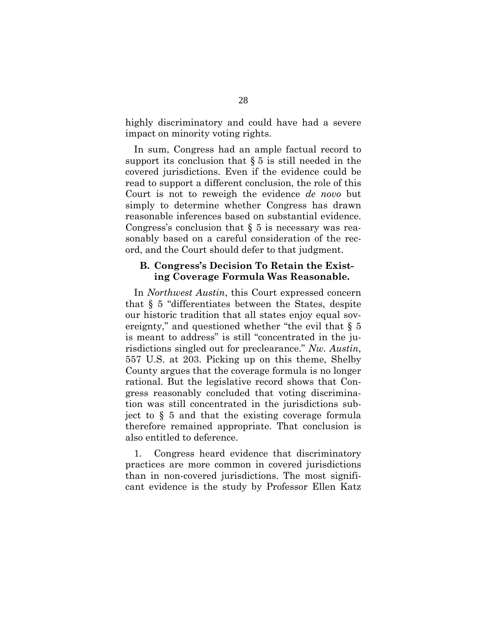highly discriminatory and could have had a severe impact on minority voting rights.

 In sum, Congress had an ample factual record to support its conclusion that  $\S 5$  is still needed in the covered jurisdictions. Even if the evidence could be read to support a different conclusion, the role of this Court is not to reweigh the evidence *de novo* but simply to determine whether Congress has drawn reasonable inferences based on substantial evidence. Congress's conclusion that  $\S$  5 is necessary was reasonably based on a careful consideration of the record, and the Court should defer to that judgment.

#### **B. Congress's Decision To Retain the Existing Coverage Formula Was Reasonable.**

In *Northwest Austin*, this Court expressed concern that § 5 "differentiates between the States, despite our historic tradition that all states enjoy equal sovereignty," and questioned whether "the evil that  $\S$  5 is meant to address" is still "concentrated in the jurisdictions singled out for preclearance." *Nw. Austin*, 557 U.S. at 203. Picking up on this theme, Shelby County argues that the coverage formula is no longer rational. But the legislative record shows that Congress reasonably concluded that voting discrimination was still concentrated in the jurisdictions subject to § 5 and that the existing coverage formula therefore remained appropriate. That conclusion is also entitled to deference.

1. Congress heard evidence that discriminatory practices are more common in covered jurisdictions than in non-covered jurisdictions. The most significant evidence is the study by Professor Ellen Katz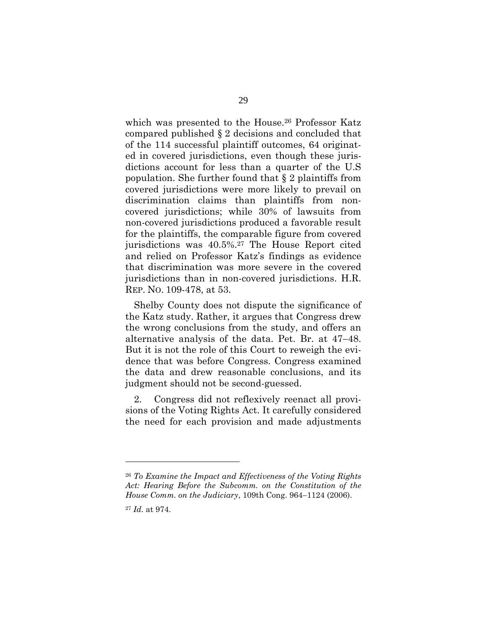which was presented to the House.26 Professor Katz compared published § 2 decisions and concluded that of the 114 successful plaintiff outcomes, 64 originated in covered jurisdictions, even though these jurisdictions account for less than a quarter of the U.S population. She further found that § 2 plaintiffs from covered jurisdictions were more likely to prevail on discrimination claims than plaintiffs from noncovered jurisdictions; while 30% of lawsuits from non-covered jurisdictions produced a favorable result for the plaintiffs, the comparable figure from covered jurisdictions was 40.5%.27 The House Report cited and relied on Professor Katz's findings as evidence that discrimination was more severe in the covered jurisdictions than in non-covered jurisdictions. H.R. REP. NO. 109-478, at 53.

 Shelby County does not dispute the significance of the Katz study. Rather, it argues that Congress drew the wrong conclusions from the study, and offers an alternative analysis of the data. Pet. Br. at  $47-48$ . But it is not the role of this Court to reweigh the evidence that was before Congress. Congress examined the data and drew reasonable conclusions, and its judgment should not be second-guessed.

2. Congress did not reflexively reenact all provisions of the Voting Rights Act. It carefully considered the need for each provision and made adjustments

<sup>26</sup> *To Examine the Impact and Effectiveness of the Voting Rights Act: Hearing Before the Subcomm. on the Constitution of the House Comm. on the Judiciary*, 109th Cong. 964–1124 (2006).

<sup>27</sup> *Id.* at 974.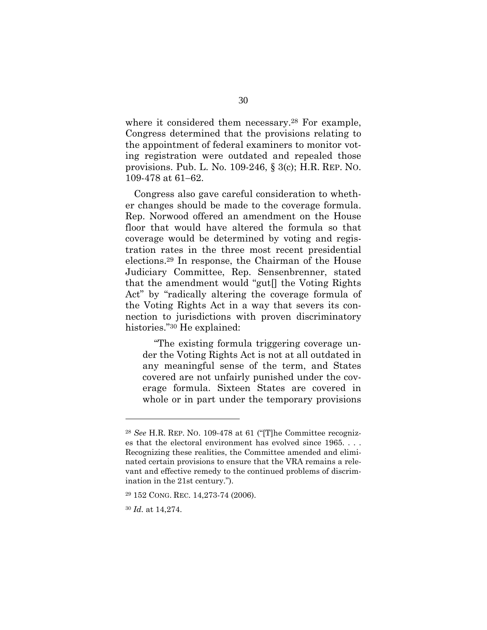where it considered them necessary.28 For example, Congress determined that the provisions relating to the appointment of federal examiners to monitor voting registration were outdated and repealed those provisions. Pub. L. No. 109-246, § 3(c); H.R. REP. NO. 109-478 at  $61-62$ .

Congress also gave careful consideration to whether changes should be made to the coverage formula. Rep. Norwood offered an amendment on the House floor that would have altered the formula so that coverage would be determined by voting and registration rates in the three most recent presidential elections.29 In response, the Chairman of the House Judiciary Committee, Rep. Sensenbrenner, stated that the amendment would "gut[] the Voting Rights Act" by "radically altering the coverage formula of the Voting Rights Act in a way that severs its connection to jurisdictions with proven discriminatory histories."30 He explained:

 "The existing formula triggering coverage under the Voting Rights Act is not at all outdated in any meaningful sense of the term, and States covered are not unfairly punished under the coverage formula. Sixteen States are covered in whole or in part under the temporary provisions

<sup>28</sup> *See* H.R. REP. NO. 109-478 at 61 ("[T]he Committee recognizes that the electoral environment has evolved since 1965. . . . Recognizing these realities, the Committee amended and eliminated certain provisions to ensure that the VRA remains a relevant and effective remedy to the continued problems of discrimination in the 21st century.").

<sup>29 152</sup> CONG. REC. 14,273-74 (2006).

<sup>30</sup> *Id.* at 14,274.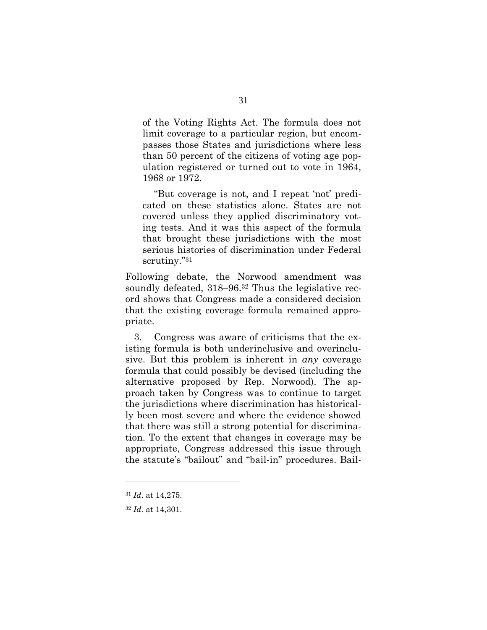of the Voting Rights Act. The formula does not limit coverage to a particular region, but encompasses those States and jurisdictions where less than 50 percent of the citizens of voting age population registered or turned out to vote in 1964, 1968 or 1972.

 "But coverage is not, and I repeat 'not' predicated on these statistics alone. States are not covered unless they applied discriminatory voting tests. And it was this aspect of the formula that brought these jurisdictions with the most serious histories of discrimination under Federal scrutiny."<sup>31</sup>

Following debate, the Norwood amendment was soundly defeated,  $318-96.32$  Thus the legislative record shows that Congress made a considered decision that the existing coverage formula remained appropriate.

 3. Congress was aware of criticisms that the existing formula is both underinclusive and overinclusive. But this problem is inherent in *any* coverage formula that could possibly be devised (including the alternative proposed by Rep. Norwood). The approach taken by Congress was to continue to target the jurisdictions where discrimination has historically been most severe and where the evidence showed that there was still a strong potential for discrimination. To the extent that changes in coverage may be appropriate, Congress addressed this issue through the statute's "bailout" and "bail-in" procedures. Bail-

<sup>31</sup> *Id*. at 14,275.

<sup>32</sup> *Id.* at 14,301.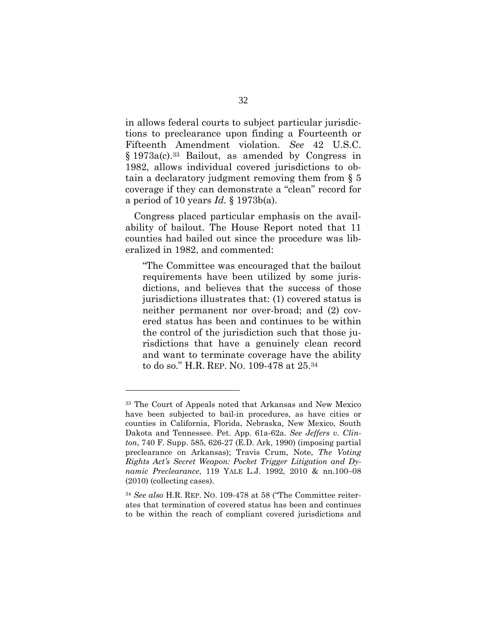in allows federal courts to subject particular jurisdictions to preclearance upon finding a Fourteenth or Fifteenth Amendment violation. *See* 42 U.S.C. § 1973a(c).33 Bailout, as amended by Congress in 1982, allows individual covered jurisdictions to obtain a declaratory judgment removing them from § 5 coverage if they can demonstrate a "clean" record for a period of 10 years *Id.* § 1973b(a).

 Congress placed particular emphasis on the availability of bailout. The House Report noted that 11 counties had bailed out since the procedure was liberalized in 1982, and commented:

"The Committee was encouraged that the bailout requirements have been utilized by some jurisdictions, and believes that the success of those jurisdictions illustrates that: (1) covered status is neither permanent nor over-broad; and (2) covered status has been and continues to be within the control of the jurisdiction such that those jurisdictions that have a genuinely clean record and want to terminate coverage have the ability to do so." H.R. REP. NO. 109-478 at 25.34

<sup>33</sup> The Court of Appeals noted that Arkansas and New Mexico have been subjected to bail-in procedures, as have cities or counties in California, Florida, Nebraska, New Mexico, South Dakota and Tennessee. Pet. App. 61a-62a. *See Jeffers v. Clinton*, 740 F. Supp. 585, 626-27 (E.D. Ark, 1990) (imposing partial preclearance on Arkansas); Travis Crum, Note, *The Voting Rights Act's Secret Weapon: Pocket Trigger Litigation and Dynamic Preclearance*, 119 YALE L.J. 1992, 2010 & nn.100-08 (2010) (collecting cases).

<sup>34</sup> *See also* H.R. REP. NO. 109-478 at 58 ("The Committee reiterates that termination of covered status has been and continues to be within the reach of compliant covered jurisdictions and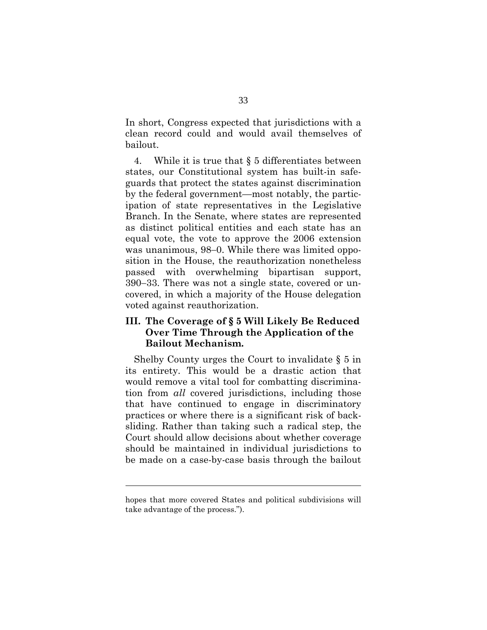In short, Congress expected that jurisdictions with a clean record could and would avail themselves of bailout.

4. While it is true that § 5 differentiates between states, our Constitutional system has built-in safeguards that protect the states against discrimination by the federal government—most notably, the participation of state representatives in the Legislative Branch. In the Senate, where states are represented as distinct political entities and each state has an equal vote, the vote to approve the 2006 extension was unanimous,  $98-0$ . While there was limited opposition in the House, the reauthorization nonetheless passed with overwhelming bipartisan support, 390–33. There was not a single state, covered or uncovered, in which a majority of the House delegation voted against reauthorization.

# **III. The Coverage of § 5 Will Likely Be Reduced Over Time Through the Application of the Bailout Mechanism.**

Shelby County urges the Court to invalidate § 5 in its entirety. This would be a drastic action that would remove a vital tool for combatting discrimination from *all* covered jurisdictions, including those that have continued to engage in discriminatory practices or where there is a significant risk of backsliding. Rather than taking such a radical step, the Court should allow decisions about whether coverage should be maintained in individual jurisdictions to be made on a case-by-case basis through the bailout

hopes that more covered States and political subdivisions will take advantage of the process.").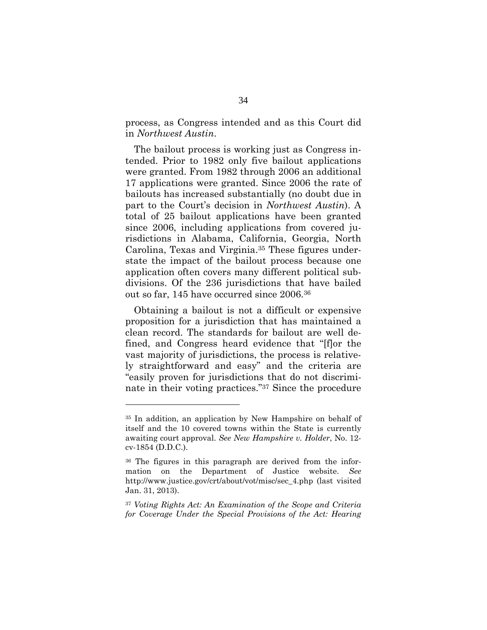process, as Congress intended and as this Court did in *Northwest Austin*.

The bailout process is working just as Congress intended. Prior to 1982 only five bailout applications were granted. From 1982 through 2006 an additional 17 applications were granted. Since 2006 the rate of bailouts has increased substantially (no doubt due in part to the Court's decision in *Northwest Austin*). A total of 25 bailout applications have been granted since 2006, including applications from covered jurisdictions in Alabama, California, Georgia, North Carolina, Texas and Virginia.35 These figures understate the impact of the bailout process because one application often covers many different political subdivisions. Of the 236 jurisdictions that have bailed out so far, 145 have occurred since 2006.36

Obtaining a bailout is not a difficult or expensive proposition for a jurisdiction that has maintained a clean record. The standards for bailout are well defined, and Congress heard evidence that "[f]or the vast majority of jurisdictions, the process is relatively straightforward and easy" and the criteria are "easily proven for jurisdictions that do not discriminate in their voting practices."37 Since the procedure

<sup>35</sup> In addition, an application by New Hampshire on behalf of itself and the 10 covered towns within the State is currently awaiting court approval. *See New Hampshire v. Holder*, No. 12 cv-1854 (D.D.C.).

<sup>36</sup> The figures in this paragraph are derived from the information on the Department of Justice website. *See*  http://www.justice.gov/crt/about/vot/misc/sec\_4.php (last visited Jan. 31, 2013).

<sup>37</sup> *Voting Rights Act: An Examination of the Scope and Criteria for Coverage Under the Special Provisions of the Act: Hearing*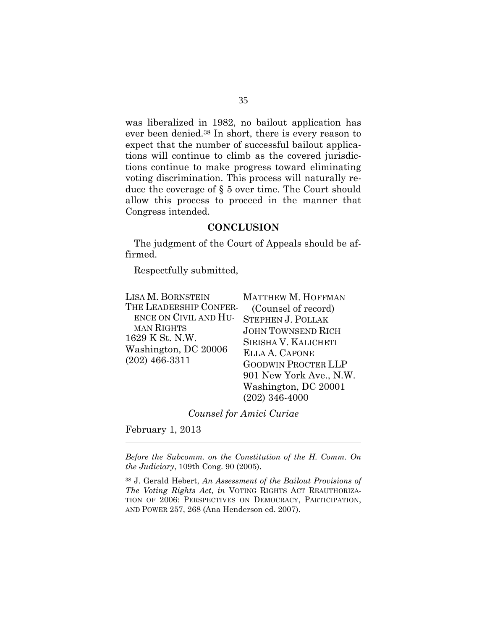was liberalized in 1982, no bailout application has ever been denied.38 In short, there is every reason to expect that the number of successful bailout applications will continue to climb as the covered jurisdictions continue to make progress toward eliminating voting discrimination. This process will naturally reduce the coverage of § 5 over time. The Court should allow this process to proceed in the manner that Congress intended.

#### **CONCLUSION**

The judgment of the Court of Appeals should be affirmed.

Respectfully submitted,

| LISA M. BORNSTEIN      | <b>MATTHEW M. HOFFMAN</b>  |
|------------------------|----------------------------|
| THE LEADERSHIP CONFER- | (Counsel of record)        |
| ENCE ON CIVIL AND HU-  | <b>STEPHEN J. POLLAK</b>   |
| <b>MAN RIGHTS</b>      | <b>JOHN TOWNSEND RICH</b>  |
| 1629 K St. N.W.        | SIRISHA V. KALICHETI       |
| Washington, DC 20006   | ELLA A. CAPONE             |
| $(202)$ 466-3311       | <b>GOODWIN PROCTER LLP</b> |
|                        | 901 New York Ave., N.W.    |
|                        | Washington, DC 20001       |

*Counsel for Amici Curiae* 

(202) 346-4000

February 1, 2013

l

*Before the Subcomm. on the Constitution of the H. Comm. On the Judiciary*, 109th Cong. 90 (2005).

38 J. Gerald Hebert, *An Assessment of the Bailout Provisions of The Voting Rights Act*, *in* VOTING RIGHTS ACT REAUTHORIZA-TION OF 2006: PERSPECTIVES ON DEMOCRACY, PARTICIPATION, AND POWER 257, 268 (Ana Henderson ed. 2007).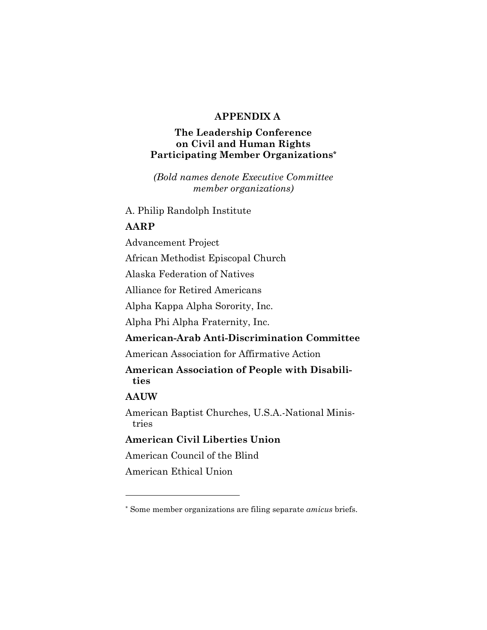# **APPENDIX A**

# **The Leadership Conference on Civil and Human Rights Participating Member Organizations\***

*(Bold names denote Executive Committee member organizations)* 

A. Philip Randolph Institute

# **AARP**

Advancement Project

African Methodist Episcopal Church

Alaska Federation of Natives

Alliance for Retired Americans

Alpha Kappa Alpha Sorority, Inc.

Alpha Phi Alpha Fraternity, Inc.

# **American-Arab Anti-Discrimination Committee**

American Association for Affirmative Action

**American Association of People with Disabilities** 

# **AAUW**

l

American Baptist Churches, U.S.A.-National Ministries

# **American Civil Liberties Union**

American Council of the Blind

American Ethical Union

<sup>\*</sup> Some member organizations are filing separate *amicus* briefs.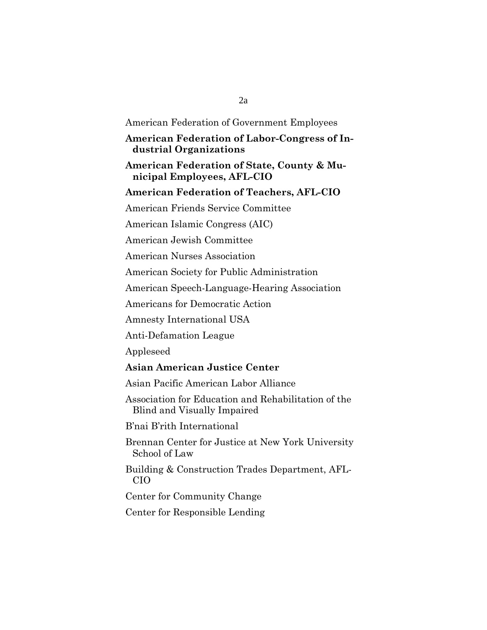American Federation of Government Employees

# **American Federation of Labor-Congress of Industrial Organizations**

# **American Federation of State, County & Municipal Employees, AFL-CIO**

# **American Federation of Teachers, AFL-CIO**

American Friends Service Committee

American Islamic Congress (AIC)

American Jewish Committee

American Nurses Association

American Society for Public Administration

American Speech-Language-Hearing Association

Americans for Democratic Action

Amnesty International USA

Anti-Defamation League

Appleseed

#### **Asian American Justice Center**

Asian Pacific American Labor Alliance

Association for Education and Rehabilitation of the Blind and Visually Impaired

B'nai B'rith International

Brennan Center for Justice at New York University School of Law

Building & Construction Trades Department, AFL-CIO

Center for Community Change

Center for Responsible Lending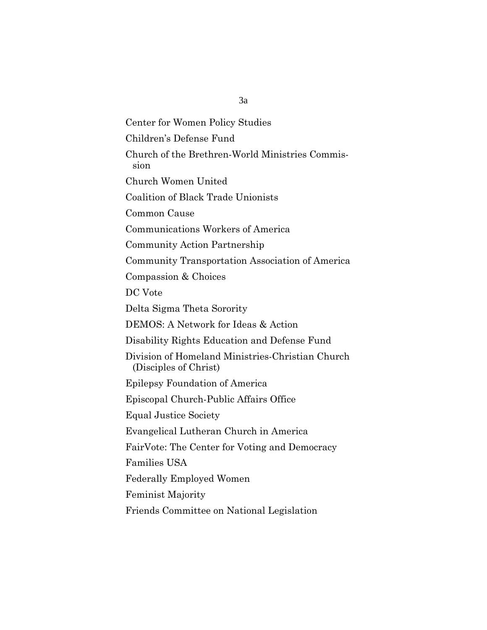Center for Women Policy Studies Children's Defense Fund Church of the Brethren-World Ministries Commission Church Women United Coalition of Black Trade Unionists Common Cause Communications Workers of America Community Action Partnership Community Transportation Association of America Compassion & Choices DC Vote Delta Sigma Theta Sorority DEMOS: A Network for Ideas & Action Disability Rights Education and Defense Fund Division of Homeland Ministries-Christian Church (Disciples of Christ) Epilepsy Foundation of America Episcopal Church-Public Affairs Office Equal Justice Society Evangelical Lutheran Church in America FairVote: The Center for Voting and Democracy Families USA Federally Employed Women Feminist Majority Friends Committee on National Legislation

3a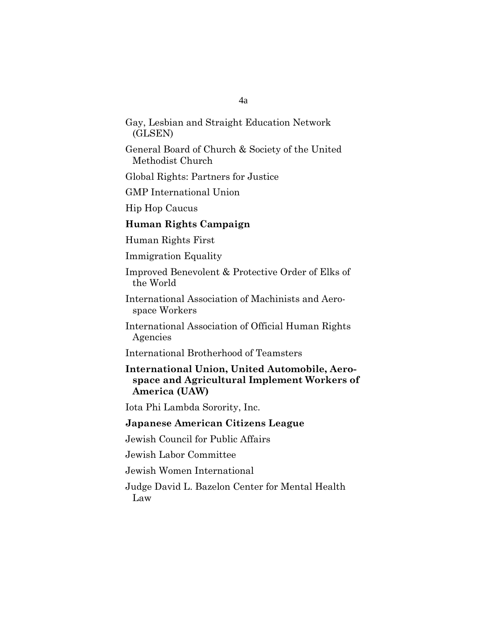Gay, Lesbian and Straight Education Network (GLSEN)

General Board of Church & Society of the United Methodist Church

Global Rights: Partners for Justice

GMP International Union

Hip Hop Caucus

#### **Human Rights Campaign**

Human Rights First

Immigration Equality

Improved Benevolent & Protective Order of Elks of the World

International Association of Machinists and Aerospace Workers

International Association of Official Human Rights Agencies

International Brotherhood of Teamsters

# **International Union, United Automobile, Aerospace and Agricultural Implement Workers of America (UAW)**

Iota Phi Lambda Sorority, Inc.

#### **Japanese American Citizens League**

Jewish Council for Public Affairs

Jewish Labor Committee

Jewish Women International

Judge David L. Bazelon Center for Mental Health Law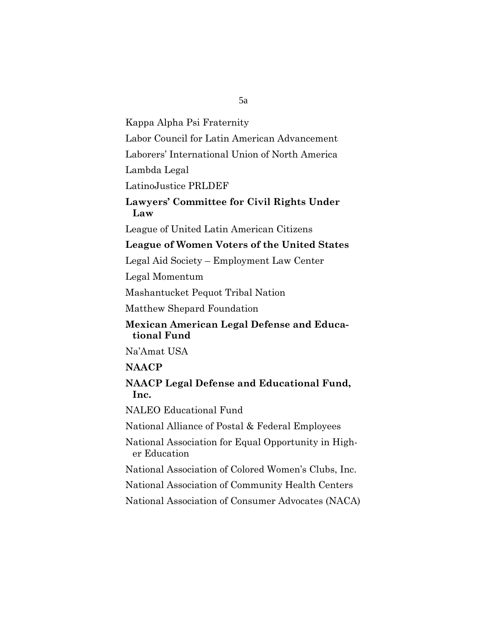Kappa Alpha Psi Fraternity Labor Council for Latin American Advancement Laborers' International Union of North America Lambda Legal LatinoJustice PRLDEF **Lawyers' Committee for Civil Rights Under Law**  League of United Latin American Citizens **League of Women Voters of the United States**  Legal Aid Society – Employment Law Center Legal Momentum Mashantucket Pequot Tribal Nation Matthew Shepard Foundation **Mexican American Legal Defense and Educational Fund**  Na'Amat USA **NAACP** 

# **NAACP Legal Defense and Educational Fund, Inc.**

NALEO Educational Fund

National Alliance of Postal & Federal Employees

National Association for Equal Opportunity in Higher Education

National Association of Colored Women's Clubs, Inc.

National Association of Community Health Centers

National Association of Consumer Advocates (NACA)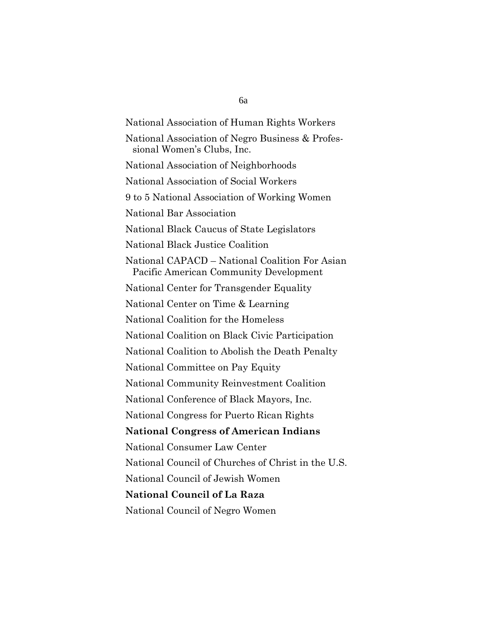National Association of Human Rights Workers National Association of Negro Business & Professional Women's Clubs, Inc. National Association of Neighborhoods National Association of Social Workers 9 to 5 National Association of Working Women National Bar Association National Black Caucus of State Legislators National Black Justice Coalition National CAPACD – National Coalition For Asian Pacific American Community Development National Center for Transgender Equality National Center on Time & Learning National Coalition for the Homeless National Coalition on Black Civic Participation National Coalition to Abolish the Death Penalty National Committee on Pay Equity National Community Reinvestment Coalition National Conference of Black Mayors, Inc. National Congress for Puerto Rican Rights **National Congress of American Indians**  National Consumer Law Center National Council of Churches of Christ in the U.S. National Council of Jewish Women **National Council of La Raza**  National Council of Negro Women

6a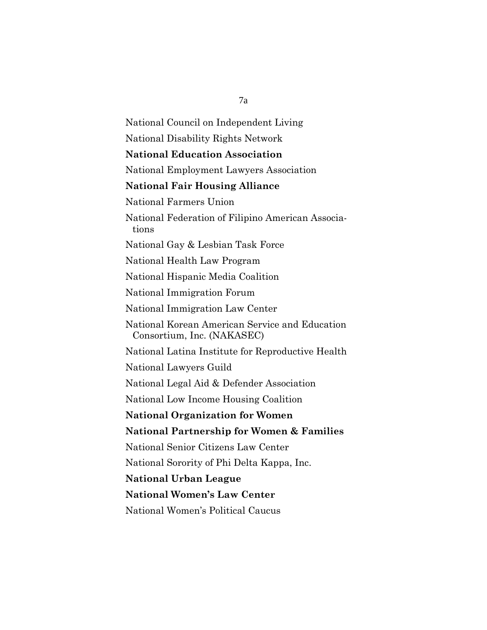National Council on Independent Living National Disability Rights Network **National Education Association**  National Employment Lawyers Association **National Fair Housing Alliance**  National Farmers Union National Federation of Filipino American Associations National Gay & Lesbian Task Force National Health Law Program National Hispanic Media Coalition National Immigration Forum National Immigration Law Center National Korean American Service and Education Consortium, Inc. (NAKASEC) National Latina Institute for Reproductive Health National Lawyers Guild National Legal Aid & Defender Association National Low Income Housing Coalition **National Organization for Women National Partnership for Women & Families**  National Senior Citizens Law Center National Sorority of Phi Delta Kappa, Inc. **National Urban League National Women's Law Center**  National Women's Political Caucus

7a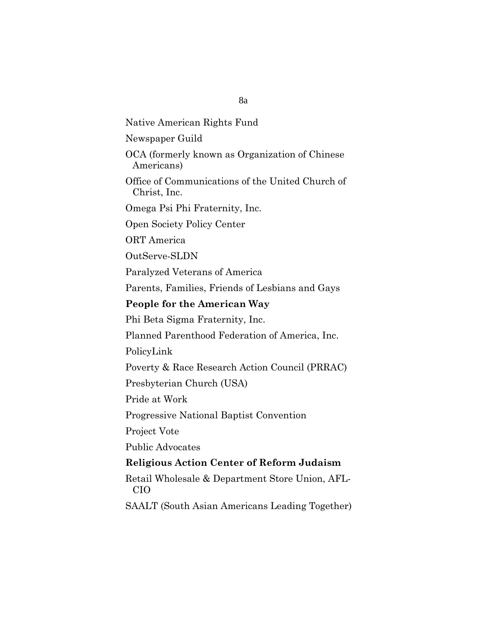Native American Rights Fund

Newspaper Guild

OCA (formerly known as Organization of Chinese Americans)

Office of Communications of the United Church of Christ, Inc.

Omega Psi Phi Fraternity, Inc.

Open Society Policy Center

ORT America

OutServe-SLDN

Paralyzed Veterans of America

Parents, Families, Friends of Lesbians and Gays

## **People for the American Way**

Phi Beta Sigma Fraternity, Inc.

Planned Parenthood Federation of America, Inc.

PolicyLink

Poverty & Race Research Action Council (PRRAC)

Presbyterian Church (USA)

Pride at Work

Progressive National Baptist Convention

Project Vote

Public Advocates

# **Religious Action Center of Reform Judaism**

Retail Wholesale & Department Store Union, AFL-CIO

SAALT (South Asian Americans Leading Together)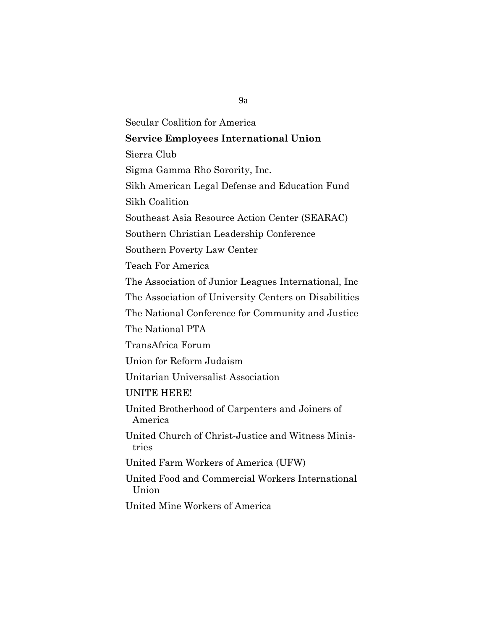Secular Coalition for America **Service Employees International Union**  Sierra Club Sigma Gamma Rho Sorority, Inc. Sikh American Legal Defense and Education Fund Sikh Coalition Southeast Asia Resource Action Center (SEARAC) Southern Christian Leadership Conference Southern Poverty Law Center Teach For America The Association of Junior Leagues International, Inc The Association of University Centers on Disabilities The National Conference for Community and Justice The National PTA TransAfrica Forum Union for Reform Judaism Unitarian Universalist Association UNITE HERE! United Brotherhood of Carpenters and Joiners of America United Church of Christ-Justice and Witness Ministries United Farm Workers of America (UFW) United Food and Commercial Workers International Union United Mine Workers of America

9a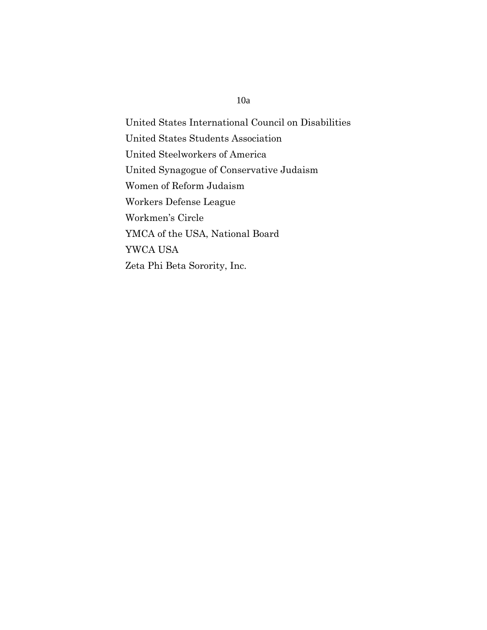# 10a

United States International Council on Disabilities United States Students Association United Steelworkers of America United Synagogue of Conservative Judaism Women of Reform Judaism Workers Defense League Workmen's Circle YMCA of the USA, National Board YWCA USA Zeta Phi Beta Sorority, Inc.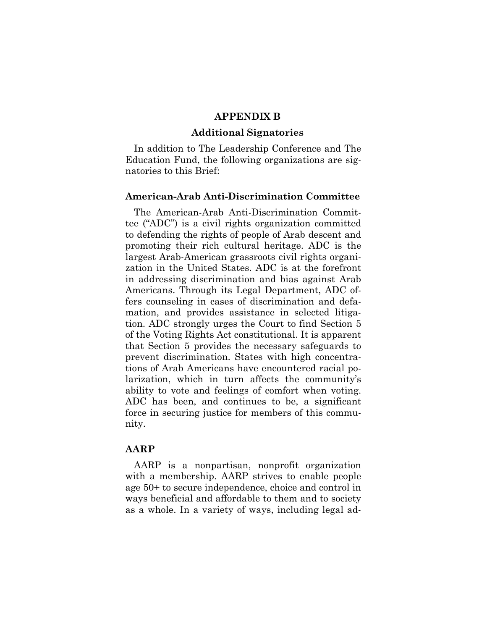#### **APPENDIX B**

#### **Additional Signatories**

 In addition to The Leadership Conference and The Education Fund, the following organizations are signatories to this Brief:

## **American-Arab Anti-Discrimination Committee**

 The American-Arab Anti-Discrimination Committee ("ADC") is a civil rights organization committed to defending the rights of people of Arab descent and promoting their rich cultural heritage. ADC is the largest Arab-American grassroots civil rights organization in the United States. ADC is at the forefront in addressing discrimination and bias against Arab Americans. Through its Legal Department, ADC offers counseling in cases of discrimination and defamation, and provides assistance in selected litigation. ADC strongly urges the Court to find Section 5 of the Voting Rights Act constitutional. It is apparent that Section 5 provides the necessary safeguards to prevent discrimination. States with high concentrations of Arab Americans have encountered racial polarization, which in turn affects the community's ability to vote and feelings of comfort when voting. ADC has been, and continues to be, a significant force in securing justice for members of this community.

#### **AARP**

 AARP is a nonpartisan, nonprofit organization with a membership. AARP strives to enable people age 50+ to secure independence, choice and control in ways beneficial and affordable to them and to society as a whole. In a variety of ways, including legal ad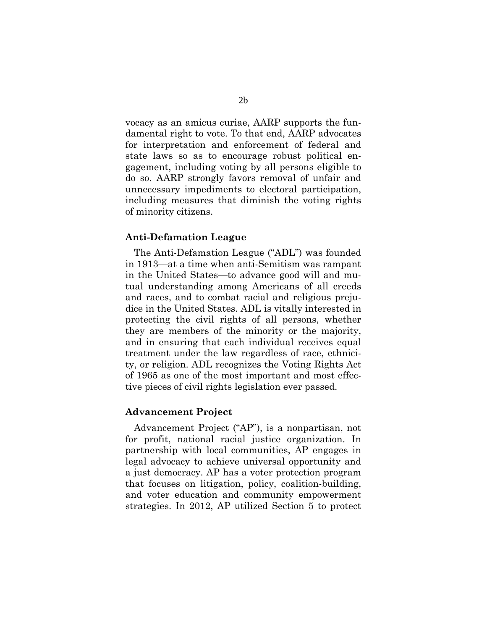vocacy as an amicus curiae, AARP supports the fundamental right to vote. To that end, AARP advocates for interpretation and enforcement of federal and state laws so as to encourage robust political engagement, including voting by all persons eligible to do so. AARP strongly favors removal of unfair and unnecessary impediments to electoral participation, including measures that diminish the voting rights of minority citizens.

#### **Anti-Defamation League**

 The Anti-Defamation League ("ADL") was founded in 1913—at a time when anti-Semitism was rampant in the United States—to advance good will and mutual understanding among Americans of all creeds and races, and to combat racial and religious prejudice in the United States. ADL is vitally interested in protecting the civil rights of all persons, whether they are members of the minority or the majority, and in ensuring that each individual receives equal treatment under the law regardless of race, ethnicity, or religion. ADL recognizes the Voting Rights Act of 1965 as one of the most important and most effective pieces of civil rights legislation ever passed.

#### **Advancement Project**

 Advancement Project ("AP"), is a nonpartisan, not for profit, national racial justice organization. In partnership with local communities, AP engages in legal advocacy to achieve universal opportunity and a just democracy. AP has a voter protection program that focuses on litigation, policy, coalition-building, and voter education and community empowerment strategies. In 2012, AP utilized Section 5 to protect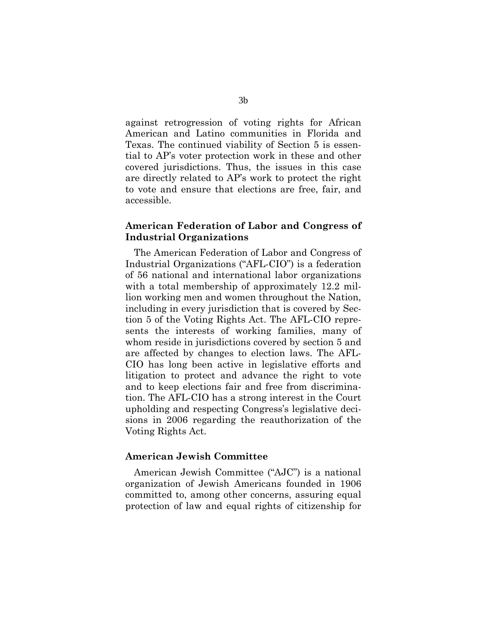against retrogression of voting rights for African American and Latino communities in Florida and Texas. The continued viability of Section 5 is essential to AP's voter protection work in these and other covered jurisdictions. Thus, the issues in this case are directly related to AP's work to protect the right to vote and ensure that elections are free, fair, and accessible.

# **American Federation of Labor and Congress of Industrial Organizations**

 The American Federation of Labor and Congress of Industrial Organizations ("AFL-CIO") is a federation of 56 national and international labor organizations with a total membership of approximately 12.2 million working men and women throughout the Nation, including in every jurisdiction that is covered by Section 5 of the Voting Rights Act. The AFL-CIO represents the interests of working families, many of whom reside in jurisdictions covered by section 5 and are affected by changes to election laws. The AFL-CIO has long been active in legislative efforts and litigation to protect and advance the right to vote and to keep elections fair and free from discrimination. The AFL-CIO has a strong interest in the Court upholding and respecting Congress's legislative decisions in 2006 regarding the reauthorization of the Voting Rights Act.

#### **American Jewish Committee**

 American Jewish Committee ("AJC") is a national organization of Jewish Americans founded in 1906 committed to, among other concerns, assuring equal protection of law and equal rights of citizenship for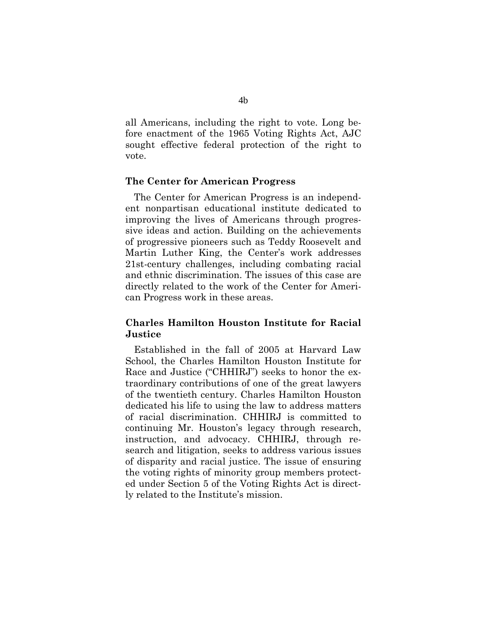all Americans, including the right to vote. Long before enactment of the 1965 Voting Rights Act, AJC sought effective federal protection of the right to vote.

#### **The Center for American Progress**

 The Center for American Progress is an independent nonpartisan educational institute dedicated to improving the lives of Americans through progressive ideas and action. Building on the achievements of progressive pioneers such as Teddy Roosevelt and Martin Luther King, the Center's work addresses 21st-century challenges, including combating racial and ethnic discrimination. The issues of this case are directly related to the work of the Center for American Progress work in these areas.

# **Charles Hamilton Houston Institute for Racial Justice**

 Established in the fall of 2005 at Harvard Law School, the Charles Hamilton Houston Institute for Race and Justice ("CHHIRJ") seeks to honor the extraordinary contributions of one of the great lawyers of the twentieth century. Charles Hamilton Houston dedicated his life to using the law to address matters of racial discrimination. CHHIRJ is committed to continuing Mr. Houston's legacy through research, instruction, and advocacy. CHHIRJ, through research and litigation, seeks to address various issues of disparity and racial justice. The issue of ensuring the voting rights of minority group members protected under Section 5 of the Voting Rights Act is directly related to the Institute's mission.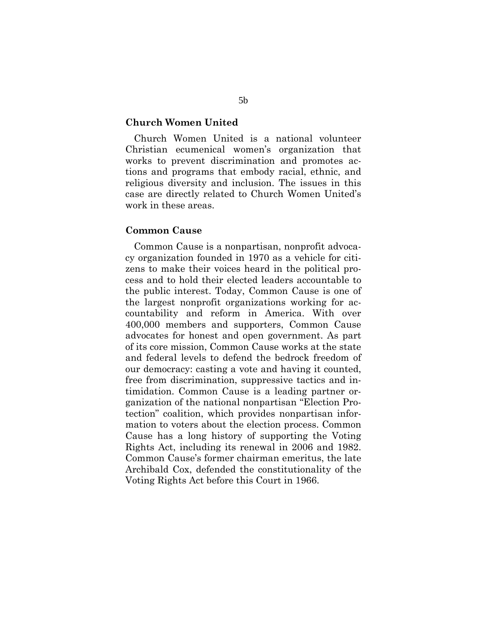#### **Church Women United**

 Church Women United is a national volunteer Christian ecumenical women's organization that works to prevent discrimination and promotes actions and programs that embody racial, ethnic, and religious diversity and inclusion. The issues in this case are directly related to Church Women United's work in these areas.

#### **Common Cause**

 Common Cause is a nonpartisan, nonprofit advocacy organization founded in 1970 as a vehicle for citizens to make their voices heard in the political process and to hold their elected leaders accountable to the public interest. Today, Common Cause is one of the largest nonprofit organizations working for accountability and reform in America. With over 400,000 members and supporters, Common Cause advocates for honest and open government. As part of its core mission, Common Cause works at the state and federal levels to defend the bedrock freedom of our democracy: casting a vote and having it counted, free from discrimination, suppressive tactics and intimidation. Common Cause is a leading partner organization of the national nonpartisan "Election Protection" coalition, which provides nonpartisan information to voters about the election process. Common Cause has a long history of supporting the Voting Rights Act, including its renewal in 2006 and 1982. Common Cause's former chairman emeritus, the late Archibald Cox, defended the constitutionality of the Voting Rights Act before this Court in 1966.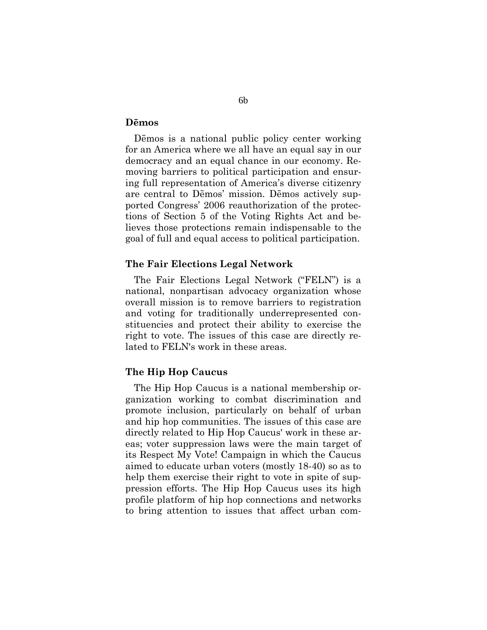#### **Dēmos**

 Dēmos is a national public policy center working for an America where we all have an equal say in our democracy and an equal chance in our economy. Removing barriers to political participation and ensuring full representation of America's diverse citizenry are central to Dēmos' mission. Dēmos actively supported Congress' 2006 reauthorization of the protections of Section 5 of the Voting Rights Act and believes those protections remain indispensable to the goal of full and equal access to political participation.

#### **The Fair Elections Legal Network**

 The Fair Elections Legal Network ("FELN") is a national, nonpartisan advocacy organization whose overall mission is to remove barriers to registration and voting for traditionally underrepresented constituencies and protect their ability to exercise the right to vote. The issues of this case are directly related to FELN's work in these areas.

#### **The Hip Hop Caucus**

 The Hip Hop Caucus is a national membership organization working to combat discrimination and promote inclusion, particularly on behalf of urban and hip hop communities. The issues of this case are directly related to Hip Hop Caucus' work in these areas; voter suppression laws were the main target of its Respect My Vote! Campaign in which the Caucus aimed to educate urban voters (mostly 18-40) so as to help them exercise their right to vote in spite of suppression efforts. The Hip Hop Caucus uses its high profile platform of hip hop connections and networks to bring attention to issues that affect urban com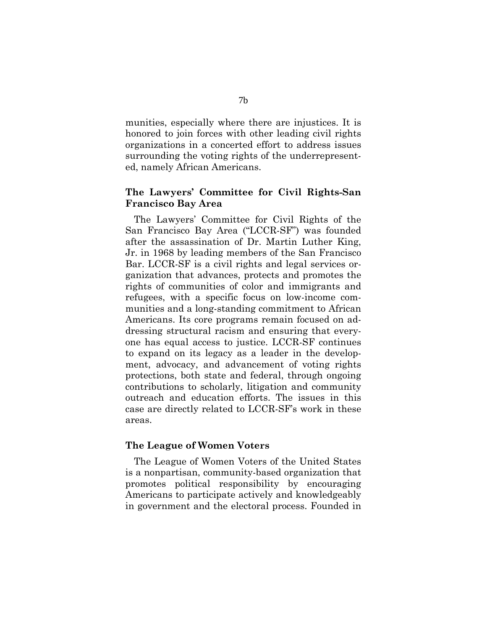munities, especially where there are injustices. It is honored to join forces with other leading civil rights organizations in a concerted effort to address issues surrounding the voting rights of the underrepresented, namely African Americans.

# **The Lawyers' Committee for Civil Rights-San Francisco Bay Area**

 The Lawyers' Committee for Civil Rights of the San Francisco Bay Area ("LCCR-SF") was founded after the assassination of Dr. Martin Luther King, Jr. in 1968 by leading members of the San Francisco Bar. LCCR-SF is a civil rights and legal services organization that advances, protects and promotes the rights of communities of color and immigrants and refugees, with a specific focus on low-income communities and a long-standing commitment to African Americans. Its core programs remain focused on addressing structural racism and ensuring that everyone has equal access to justice. LCCR-SF continues to expand on its legacy as a leader in the development, advocacy, and advancement of voting rights protections, both state and federal, through ongoing contributions to scholarly, litigation and community outreach and education efforts. The issues in this case are directly related to LCCR-SF's work in these areas.

#### **The League of Women Voters**

 The League of Women Voters of the United States is a nonpartisan, community-based organization that promotes political responsibility by encouraging Americans to participate actively and knowledgeably in government and the electoral process. Founded in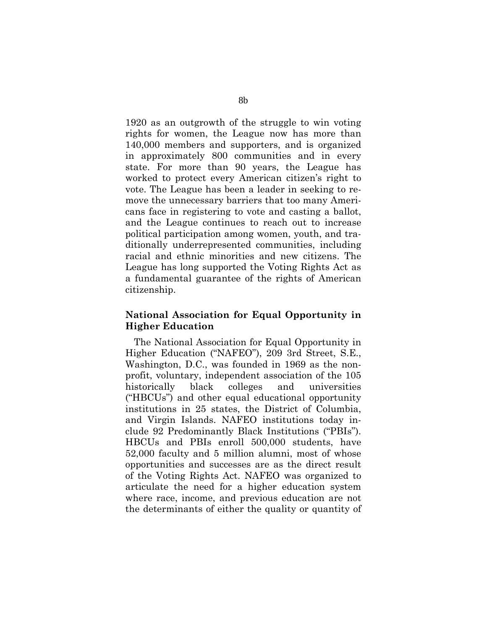1920 as an outgrowth of the struggle to win voting rights for women, the League now has more than 140,000 members and supporters, and is organized in approximately 800 communities and in every state. For more than 90 years, the League has worked to protect every American citizen's right to vote. The League has been a leader in seeking to remove the unnecessary barriers that too many Americans face in registering to vote and casting a ballot, and the League continues to reach out to increase political participation among women, youth, and traditionally underrepresented communities, including racial and ethnic minorities and new citizens. The League has long supported the Voting Rights Act as a fundamental guarantee of the rights of American citizenship.

# **National Association for Equal Opportunity in Higher Education**

 The National Association for Equal Opportunity in Higher Education ("NAFEO"), 209 3rd Street, S.E., Washington, D.C., was founded in 1969 as the nonprofit, voluntary, independent association of the 105 historically black colleges and universities ("HBCUs") and other equal educational opportunity institutions in 25 states, the District of Columbia, and Virgin Islands. NAFEO institutions today include 92 Predominantly Black Institutions ("PBIs"). HBCUs and PBIs enroll 500,000 students, have 52,000 faculty and 5 million alumni, most of whose opportunities and successes are as the direct result of the Voting Rights Act. NAFEO was organized to articulate the need for a higher education system where race, income, and previous education are not the determinants of either the quality or quantity of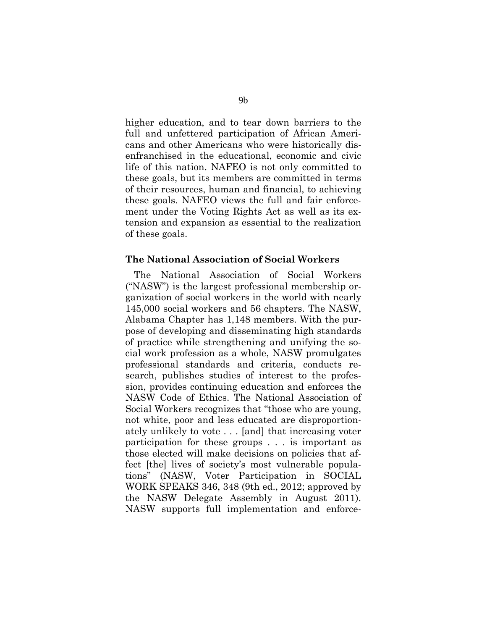higher education, and to tear down barriers to the full and unfettered participation of African Americans and other Americans who were historically disenfranchised in the educational, economic and civic life of this nation. NAFEO is not only committed to these goals, but its members are committed in terms of their resources, human and financial, to achieving these goals. NAFEO views the full and fair enforcement under the Voting Rights Act as well as its extension and expansion as essential to the realization of these goals.

#### **The National Association of Social Workers**

 The National Association of Social Workers ("NASW") is the largest professional membership organization of social workers in the world with nearly 145,000 social workers and 56 chapters. The NASW, Alabama Chapter has 1,148 members. With the purpose of developing and disseminating high standards of practice while strengthening and unifying the social work profession as a whole, NASW promulgates professional standards and criteria, conducts research, publishes studies of interest to the profession, provides continuing education and enforces the NASW Code of Ethics. The National Association of Social Workers recognizes that "those who are young, not white, poor and less educated are disproportionately unlikely to vote . . . [and] that increasing voter participation for these groups . . . is important as those elected will make decisions on policies that affect [the] lives of society's most vulnerable populations" (NASW, Voter Participation in SOCIAL WORK SPEAKS 346, 348 (9th ed., 2012; approved by the NASW Delegate Assembly in August 2011). NASW supports full implementation and enforce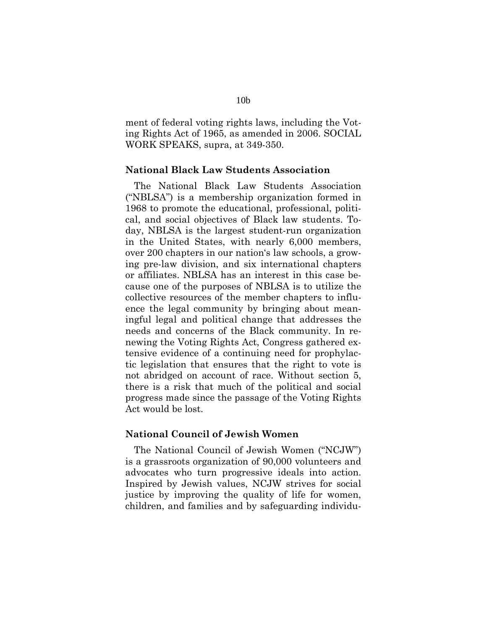ment of federal voting rights laws, including the Voting Rights Act of 1965, as amended in 2006. SOCIAL WORK SPEAKS, supra, at 349-350.

#### **National Black Law Students Association**

 The National Black Law Students Association ("NBLSA") is a membership organization formed in 1968 to promote the educational, professional, political, and social objectives of Black law students. Today, NBLSA is the largest student-run organization in the United States, with nearly 6,000 members, over 200 chapters in our nation's law schools, a growing pre-law division, and six international chapters or affiliates. NBLSA has an interest in this case because one of the purposes of NBLSA is to utilize the collective resources of the member chapters to influence the legal community by bringing about meaningful legal and political change that addresses the needs and concerns of the Black community. In renewing the Voting Rights Act, Congress gathered extensive evidence of a continuing need for prophylactic legislation that ensures that the right to vote is not abridged on account of race. Without section 5, there is a risk that much of the political and social progress made since the passage of the Voting Rights Act would be lost.

#### **National Council of Jewish Women**

 The National Council of Jewish Women ("NCJW") is a grassroots organization of 90,000 volunteers and advocates who turn progressive ideals into action. Inspired by Jewish values, NCJW strives for social justice by improving the quality of life for women, children, and families and by safeguarding individu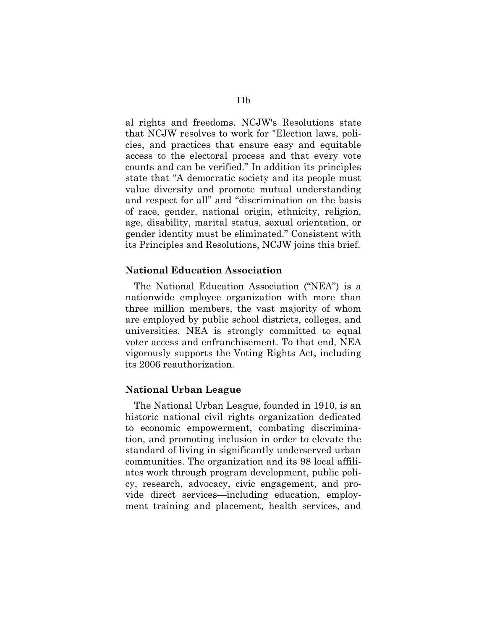al rights and freedoms. NCJW's Resolutions state that NCJW resolves to work for "Election laws, policies, and practices that ensure easy and equitable access to the electoral process and that every vote counts and can be verified." In addition its principles state that "A democratic society and its people must value diversity and promote mutual understanding and respect for all" and "discrimination on the basis of race, gender, national origin, ethnicity, religion, age, disability, marital status, sexual orientation, or gender identity must be eliminated." Consistent with its Principles and Resolutions, NCJW joins this brief.

#### **National Education Association**

 The National Education Association ("NEA") is a nationwide employee organization with more than three million members, the vast majority of whom are employed by public school districts, colleges, and universities. NEA is strongly committed to equal voter access and enfranchisement. To that end, NEA vigorously supports the Voting Rights Act, including its 2006 reauthorization.

#### **National Urban League**

 The National Urban League, founded in 1910, is an historic national civil rights organization dedicated to economic empowerment, combating discrimination, and promoting inclusion in order to elevate the standard of living in significantly underserved urban communities. The organization and its 98 local affiliates work through program development, public policy, research, advocacy, civic engagement, and provide direct services—including education, employment training and placement, health services, and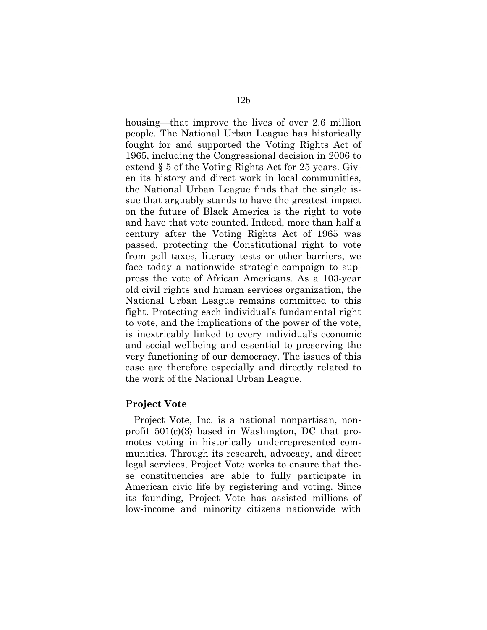housing—that improve the lives of over 2.6 million people. The National Urban League has historically fought for and supported the Voting Rights Act of 1965, including the Congressional decision in 2006 to extend § 5 of the Voting Rights Act for 25 years. Given its history and direct work in local communities, the National Urban League finds that the single issue that arguably stands to have the greatest impact on the future of Black America is the right to vote and have that vote counted. Indeed, more than half a century after the Voting Rights Act of 1965 was passed, protecting the Constitutional right to vote from poll taxes, literacy tests or other barriers, we face today a nationwide strategic campaign to suppress the vote of African Americans. As a 103-year old civil rights and human services organization, the National Urban League remains committed to this fight. Protecting each individual's fundamental right to vote, and the implications of the power of the vote, is inextricably linked to every individual's economic and social wellbeing and essential to preserving the very functioning of our democracy. The issues of this case are therefore especially and directly related to the work of the National Urban League.

#### **Project Vote**

 Project Vote, Inc. is a national nonpartisan, nonprofit 501(c)(3) based in Washington, DC that promotes voting in historically underrepresented communities. Through its research, advocacy, and direct legal services, Project Vote works to ensure that these constituencies are able to fully participate in American civic life by registering and voting. Since its founding, Project Vote has assisted millions of low-income and minority citizens nationwide with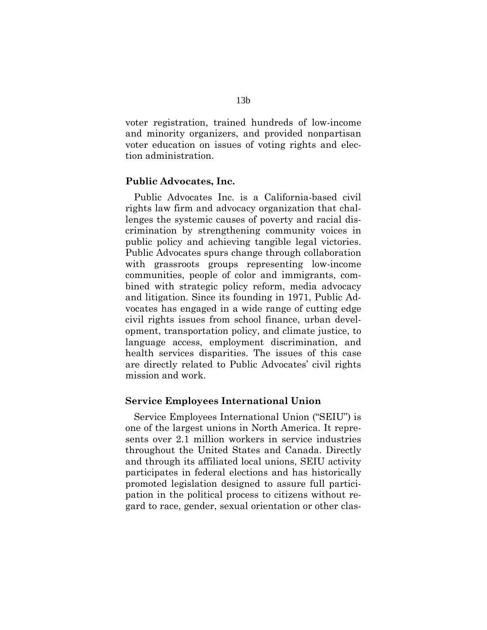voter registration, trained hundreds of low-income and minority organizers, and provided nonpartisan voter education on issues of voting rights and election administration.

#### **Public Advocates, Inc.**

 Public Advocates Inc. is a California-based civil rights law firm and advocacy organization that challenges the systemic causes of poverty and racial discrimination by strengthening community voices in public policy and achieving tangible legal victories. Public Advocates spurs change through collaboration with grassroots groups representing low-income communities, people of color and immigrants, combined with strategic policy reform, media advocacy and litigation. Since its founding in 1971, Public Advocates has engaged in a wide range of cutting edge civil rights issues from school finance, urban development, transportation policy, and climate justice, to language access, employment discrimination, and health services disparities. The issues of this case are directly related to Public Advocates' civil rights mission and work.

## **Service Employees International Union**

 Service Employees International Union ("SEIU") is one of the largest unions in North America. It represents over 2.1 million workers in service industries throughout the United States and Canada. Directly and through its affiliated local unions, SEIU activity participates in federal elections and has historically promoted legislation designed to assure full participation in the political process to citizens without regard to race, gender, sexual orientation or other clas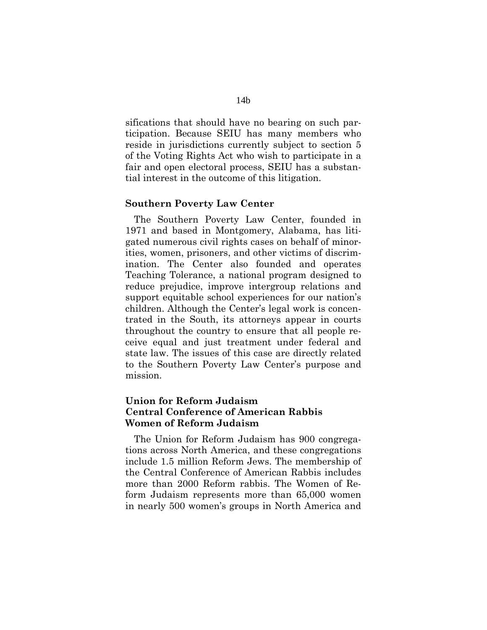sifications that should have no bearing on such participation. Because SEIU has many members who reside in jurisdictions currently subject to section 5 of the Voting Rights Act who wish to participate in a fair and open electoral process, SEIU has a substantial interest in the outcome of this litigation.

#### **Southern Poverty Law Center**

 The Southern Poverty Law Center, founded in 1971 and based in Montgomery, Alabama, has litigated numerous civil rights cases on behalf of minorities, women, prisoners, and other victims of discrimination. The Center also founded and operates Teaching Tolerance, a national program designed to reduce prejudice, improve intergroup relations and support equitable school experiences for our nation's children. Although the Center's legal work is concentrated in the South, its attorneys appear in courts throughout the country to ensure that all people receive equal and just treatment under federal and state law. The issues of this case are directly related to the Southern Poverty Law Center's purpose and mission.

# **Union for Reform Judaism Central Conference of American Rabbis Women of Reform Judaism**

 The Union for Reform Judaism has 900 congregations across North America, and these congregations include 1.5 million Reform Jews. The membership of the Central Conference of American Rabbis includes more than 2000 Reform rabbis. The Women of Reform Judaism represents more than 65,000 women in nearly 500 women's groups in North America and